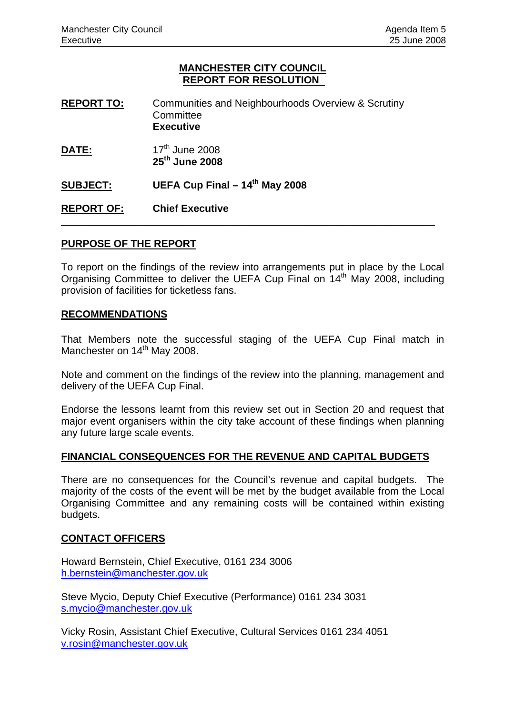## **MANCHESTER CITY COUNCIL REPORT FOR RESOLUTION**

- **REPORT TO:** Communities and Neighbourhoods Overview & Scrutiny **Committee Executive**
- **DATE:** 17<sup>th</sup> June 2008  **25th June 2008**

**SUBJECT:** UEFA Cup Final – 14<sup>th</sup> May 2008

**REPORT OF: Chief Executive** 

## **PURPOSE OF THE REPORT**

To report on the findings of the review into arrangements put in place by the Local Organising Committee to deliver the UEFA Cup Final on 14<sup>th</sup> May 2008, including provision of facilities for ticketless fans.

\_\_\_\_\_\_\_\_\_\_\_\_\_\_\_\_\_\_\_\_\_\_\_\_\_\_\_\_\_\_\_\_\_\_\_\_\_\_\_\_\_\_\_\_\_\_\_\_\_\_\_\_\_\_\_\_\_\_\_\_\_\_\_\_\_\_

## **RECOMMENDATIONS**

That Members note the successful staging of the UEFA Cup Final match in Manchester on 14<sup>th</sup> May 2008.

Note and comment on the findings of the review into the planning, management and delivery of the UEFA Cup Final.

Endorse the lessons learnt from this review set out in Section 20 and request that major event organisers within the city take account of these findings when planning any future large scale events.

## **FINANCIAL CONSEQUENCES FOR THE REVENUE AND CAPITAL BUDGETS**

There are no consequences for the Council's revenue and capital budgets. The majority of the costs of the event will be met by the budget available from the Local Organising Committee and any remaining costs will be contained within existing budgets.

## **CONTACT OFFICERS**

Howard Bernstein, Chief Executive, 0161 234 3006 [h.bernstein@manchester.gov.uk](mailto:h.bernstein@manchester.gov.uk)

Steve Mycio, Deputy Chief Executive (Performance) 0161 234 3031 [s.mycio@manchester.gov.uk](mailto:s.mycio@manchester.gov.uk)

Vicky Rosin, Assistant Chief Executive, Cultural Services 0161 234 4051 [v.rosin@manchester.gov.uk](mailto:v.rosin@manchester.gov.uk)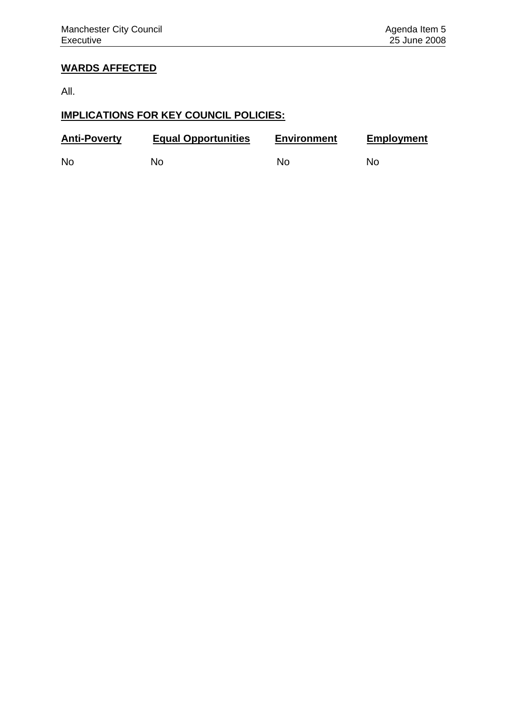# **WARDS AFFECTED**

All.

# **IMPLICATIONS FOR KEY COUNCIL POLICIES:**

| <b>Anti-Poverty</b> | <b>Equal Opportunities</b> | <b>Environment</b> | <b>Employment</b> |
|---------------------|----------------------------|--------------------|-------------------|
| <b>No</b>           | Nο                         | No.                | No.               |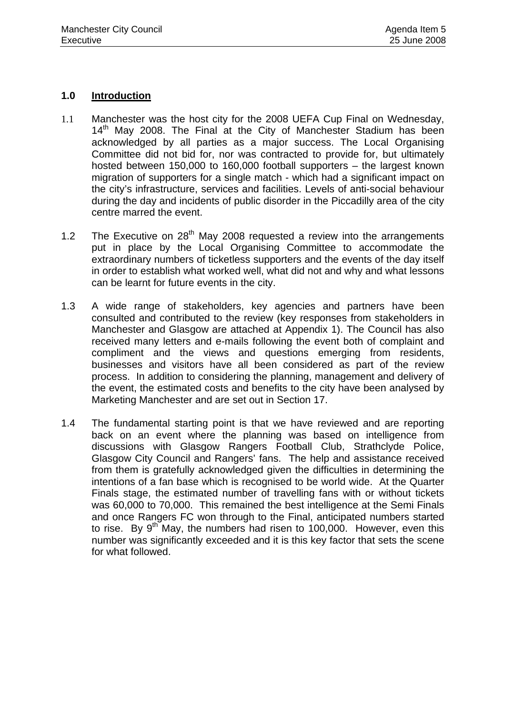## **1.0 Introduction**

- 1.1 Manchester was the host city for the 2008 UEFA Cup Final on Wednesday,  $14<sup>th</sup>$  May 2008. The Final at the City of Manchester Stadium has been acknowledged by all parties as a major success. The Local Organising Committee did not bid for, nor was contracted to provide for, but ultimately hosted between 150,000 to 160,000 football supporters – the largest known migration of supporters for a single match - which had a significant impact on the city's infrastructure, services and facilities. Levels of anti-social behaviour during the day and incidents of public disorder in the Piccadilly area of the city centre marred the event.
- 1.2 The Executive on  $28<sup>th</sup>$  May 2008 requested a review into the arrangements put in place by the Local Organising Committee to accommodate the extraordinary numbers of ticketless supporters and the events of the day itself in order to establish what worked well, what did not and why and what lessons can be learnt for future events in the city.
- 1.3 A wide range of stakeholders, key agencies and partners have been consulted and contributed to the review (key responses from stakeholders in Manchester and Glasgow are attached at Appendix 1). The Council has also received many letters and e-mails following the event both of complaint and compliment and the views and questions emerging from residents, businesses and visitors have all been considered as part of the review process. In addition to considering the planning, management and delivery of the event, the estimated costs and benefits to the city have been analysed by Marketing Manchester and are set out in Section 17.
- 1.4 The fundamental starting point is that we have reviewed and are reporting back on an event where the planning was based on intelligence from discussions with Glasgow Rangers Football Club, Strathclyde Police, Glasgow City Council and Rangers' fans. The help and assistance received from them is gratefully acknowledged given the difficulties in determining the intentions of a fan base which is recognised to be world wide. At the Quarter Finals stage, the estimated number of travelling fans with or without tickets was 60,000 to 70,000. This remained the best intelligence at the Semi Finals and once Rangers FC won through to the Final, anticipated numbers started to rise. By  $9^{th}$  May, the numbers had risen to 100,000. However, even this number was significantly exceeded and it is this key factor that sets the scene for what followed.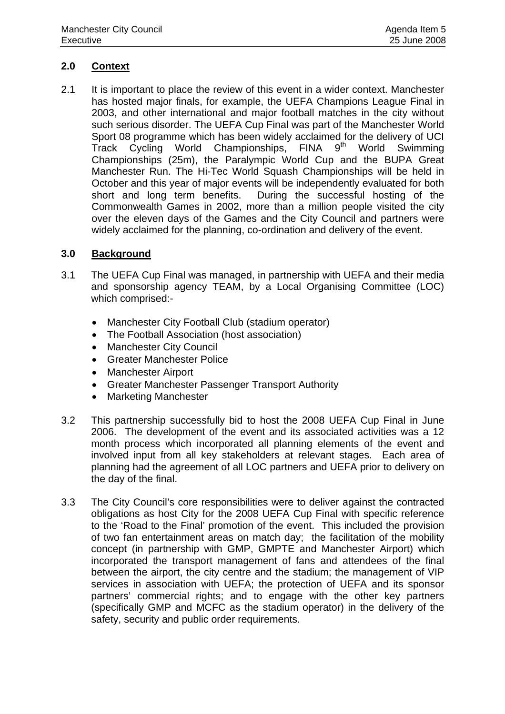# **2.0 Context**

2.1 It is important to place the review of this event in a wider context. Manchester has hosted major finals, for example, the UEFA Champions League Final in 2003, and other international and major football matches in the city without such serious disorder. The UEFA Cup Final was part of the Manchester World Sport 08 programme which has been widely acclaimed for the delivery of UCI Track Cycling World Championships, FINA 9<sup>th</sup> World Swimming Championships (25m), the Paralympic World Cup and the BUPA Great Manchester Run. The Hi-Tec World Squash Championships will be held in October and this year of major events will be independently evaluated for both short and long term benefits. During the successful hosting of the Commonwealth Games in 2002, more than a million people visited the city over the eleven days of the Games and the City Council and partners were widely acclaimed for the planning, co-ordination and delivery of the event.

## **3.0 Background**

- 3.1 The UEFA Cup Final was managed, in partnership with UEFA and their media and sponsorship agency TEAM, by a Local Organising Committee (LOC) which comprised:-
	- Manchester City Football Club (stadium operator)
	- The Football Association (host association)
	- **Manchester City Council**
	- Greater Manchester Police
	- Manchester Airport
	- Greater Manchester Passenger Transport Authority
	- Marketing Manchester
- 3.2 This partnership successfully bid to host the 2008 UEFA Cup Final in June 2006. The development of the event and its associated activities was a 12 month process which incorporated all planning elements of the event and involved input from all key stakeholders at relevant stages. Each area of planning had the agreement of all LOC partners and UEFA prior to delivery on the day of the final.
- 3.3 The City Council's core responsibilities were to deliver against the contracted obligations as host City for the 2008 UEFA Cup Final with specific reference to the 'Road to the Final' promotion of the event. This included the provision of two fan entertainment areas on match day; the facilitation of the mobility concept (in partnership with GMP, GMPTE and Manchester Airport) which incorporated the transport management of fans and attendees of the final between the airport, the city centre and the stadium; the management of VIP services in association with UEFA; the protection of UEFA and its sponsor partners' commercial rights; and to engage with the other key partners (specifically GMP and MCFC as the stadium operator) in the delivery of the safety, security and public order requirements.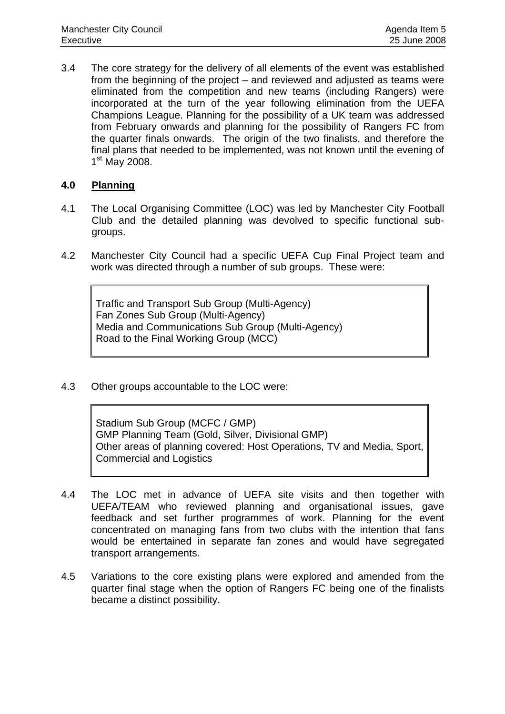3.4 The core strategy for the delivery of all elements of the event was established from the beginning of the project – and reviewed and adjusted as teams were eliminated from the competition and new teams (including Rangers) were incorporated at the turn of the year following elimination from the UEFA Champions League. Planning for the possibility of a UK team was addressed from February onwards and planning for the possibility of Rangers FC from the quarter finals onwards. The origin of the two finalists, and therefore the final plans that needed to be implemented, was not known until the evening of 1<sup>st</sup> May 2008.

# **4.0 Planning**

- 4.1 The Local Organising Committee (LOC) was led by Manchester City Football Club and the detailed planning was devolved to specific functional subgroups.
- 4.2 Manchester City Council had a specific UEFA Cup Final Project team and work was directed through a number of sub groups. These were:

Traffic and Transport Sub Group (Multi-Agency) Fan Zones Sub Group (Multi-Agency) Media and Communications Sub Group (Multi-Agency) Road to the Final Working Group (MCC)

4.3 Other groups accountable to the LOC were:

Stadium Sub Group (MCFC / GMP) GMP Planning Team (Gold, Silver, Divisional GMP) Other areas of planning covered: Host Operations, TV and Media, Sport, Commercial and Logistics

- 4.4 The LOC met in advance of UEFA site visits and then together with UEFA/TEAM who reviewed planning and organisational issues, gave feedback and set further programmes of work. Planning for the event concentrated on managing fans from two clubs with the intention that fans would be entertained in separate fan zones and would have segregated transport arrangements.
- 4.5 Variations to the core existing plans were explored and amended from the quarter final stage when the option of Rangers FC being one of the finalists became a distinct possibility.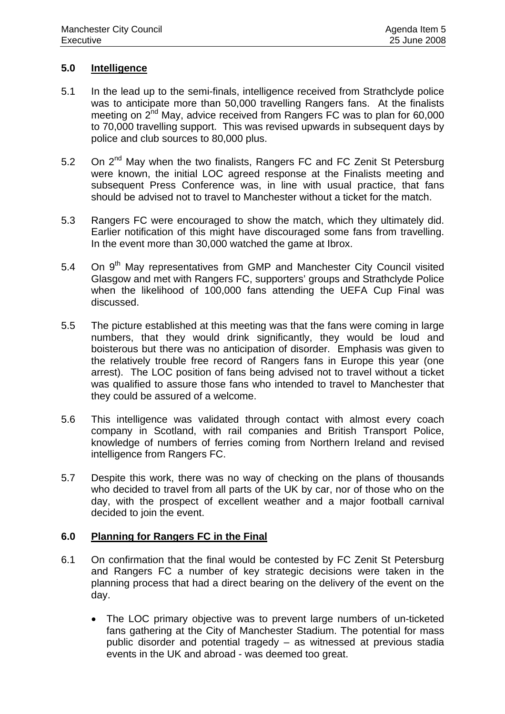## **5.0 Intelligence**

- 5.1 In the lead up to the semi-finals, intelligence received from Strathclyde police was to anticipate more than 50,000 travelling Rangers fans. At the finalists meeting on 2<sup>nd</sup> May, advice received from Rangers FC was to plan for 60,000 to 70,000 travelling support. This was revised upwards in subsequent days by police and club sources to 80,000 plus.
- 5.2 On  $2^{nd}$  May when the two finalists, Rangers FC and FC Zenit St Petersburg were known, the initial LOC agreed response at the Finalists meeting and subsequent Press Conference was, in line with usual practice, that fans should be advised not to travel to Manchester without a ticket for the match.
- 5.3 Rangers FC were encouraged to show the match, which they ultimately did. Earlier notification of this might have discouraged some fans from travelling. In the event more than 30,000 watched the game at Ibrox.
- 5.4 On 9<sup>th</sup> May representatives from GMP and Manchester City Council visited Glasgow and met with Rangers FC, supporters' groups and Strathclyde Police when the likelihood of 100,000 fans attending the UEFA Cup Final was discussed.
- 5.5 The picture established at this meeting was that the fans were coming in large numbers, that they would drink significantly, they would be loud and boisterous but there was no anticipation of disorder. Emphasis was given to the relatively trouble free record of Rangers fans in Europe this year (one arrest). The LOC position of fans being advised not to travel without a ticket was qualified to assure those fans who intended to travel to Manchester that they could be assured of a welcome.
- 5.6 This intelligence was validated through contact with almost every coach company in Scotland, with rail companies and British Transport Police, knowledge of numbers of ferries coming from Northern Ireland and revised intelligence from Rangers FC.
- 5.7 Despite this work, there was no way of checking on the plans of thousands who decided to travel from all parts of the UK by car, nor of those who on the day, with the prospect of excellent weather and a major football carnival decided to join the event.

## **6.0 Planning for Rangers FC in the Final**

- 6.1 On confirmation that the final would be contested by FC Zenit St Petersburg and Rangers FC a number of key strategic decisions were taken in the planning process that had a direct bearing on the delivery of the event on the day.
	- The LOC primary objective was to prevent large numbers of un-ticketed fans gathering at the City of Manchester Stadium. The potential for mass public disorder and potential tragedy – as witnessed at previous stadia events in the UK and abroad - was deemed too great.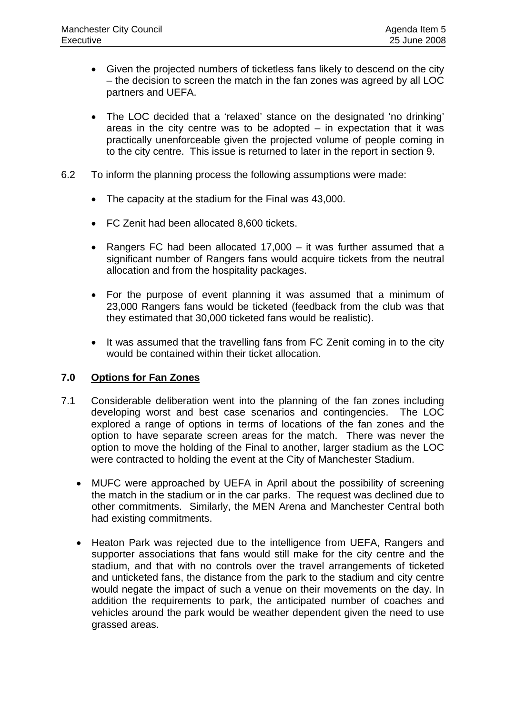- Given the projected numbers of ticketless fans likely to descend on the city – the decision to screen the match in the fan zones was agreed by all LOC partners and UEFA.
- The LOC decided that a 'relaxed' stance on the designated 'no drinking' areas in the city centre was to be adopted  $-$  in expectation that it was practically unenforceable given the projected volume of people coming in to the city centre. This issue is returned to later in the report in section 9.
- 6.2 To inform the planning process the following assumptions were made:
	- The capacity at the stadium for the Final was 43,000.
	- FC Zenit had been allocated 8,600 tickets.
	- Rangers FC had been allocated 17,000 it was further assumed that a significant number of Rangers fans would acquire tickets from the neutral allocation and from the hospitality packages.
	- For the purpose of event planning it was assumed that a minimum of 23,000 Rangers fans would be ticketed (feedback from the club was that they estimated that 30,000 ticketed fans would be realistic).
	- It was assumed that the travelling fans from FC Zenit coming in to the city would be contained within their ticket allocation.

# **7.0 Options for Fan Zones**

- 7.1 Considerable deliberation went into the planning of the fan zones including developing worst and best case scenarios and contingencies. The LOC explored a range of options in terms of locations of the fan zones and the option to have separate screen areas for the match. There was never the option to move the holding of the Final to another, larger stadium as the LOC were contracted to holding the event at the City of Manchester Stadium.
	- MUFC were approached by UEFA in April about the possibility of screening the match in the stadium or in the car parks. The request was declined due to other commitments. Similarly, the MEN Arena and Manchester Central both had existing commitments.
	- Heaton Park was rejected due to the intelligence from UEFA, Rangers and supporter associations that fans would still make for the city centre and the stadium, and that with no controls over the travel arrangements of ticketed and unticketed fans, the distance from the park to the stadium and city centre would negate the impact of such a venue on their movements on the day. In addition the requirements to park, the anticipated number of coaches and vehicles around the park would be weather dependent given the need to use grassed areas.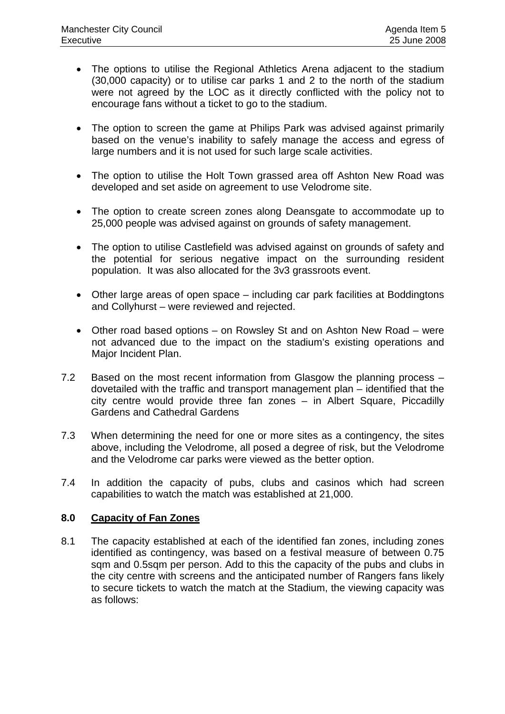- The options to utilise the Regional Athletics Arena adjacent to the stadium (30,000 capacity) or to utilise car parks 1 and 2 to the north of the stadium were not agreed by the LOC as it directly conflicted with the policy not to encourage fans without a ticket to go to the stadium.
- The option to screen the game at Philips Park was advised against primarily based on the venue's inability to safely manage the access and egress of large numbers and it is not used for such large scale activities.
- The option to utilise the Holt Town grassed area off Ashton New Road was developed and set aside on agreement to use Velodrome site.
- The option to create screen zones along Deansgate to accommodate up to 25,000 people was advised against on grounds of safety management.
- The option to utilise Castlefield was advised against on grounds of safety and the potential for serious negative impact on the surrounding resident population. It was also allocated for the 3v3 grassroots event.
- Other large areas of open space including car park facilities at Boddingtons and Collyhurst – were reviewed and rejected.
- Other road based options on Rowsley St and on Ashton New Road were not advanced due to the impact on the stadium's existing operations and Major Incident Plan.
- 7.2 Based on the most recent information from Glasgow the planning process dovetailed with the traffic and transport management plan – identified that the city centre would provide three fan zones – in Albert Square, Piccadilly Gardens and Cathedral Gardens
- 7.3 When determining the need for one or more sites as a contingency, the sites above, including the Velodrome, all posed a degree of risk, but the Velodrome and the Velodrome car parks were viewed as the better option.
- 7.4 In addition the capacity of pubs, clubs and casinos which had screen capabilities to watch the match was established at 21,000.

# **8.0 Capacity of Fan Zones**

8.1 The capacity established at each of the identified fan zones, including zones identified as contingency, was based on a festival measure of between 0.75 sqm and 0.5sqm per person. Add to this the capacity of the pubs and clubs in the city centre with screens and the anticipated number of Rangers fans likely to secure tickets to watch the match at the Stadium, the viewing capacity was as follows: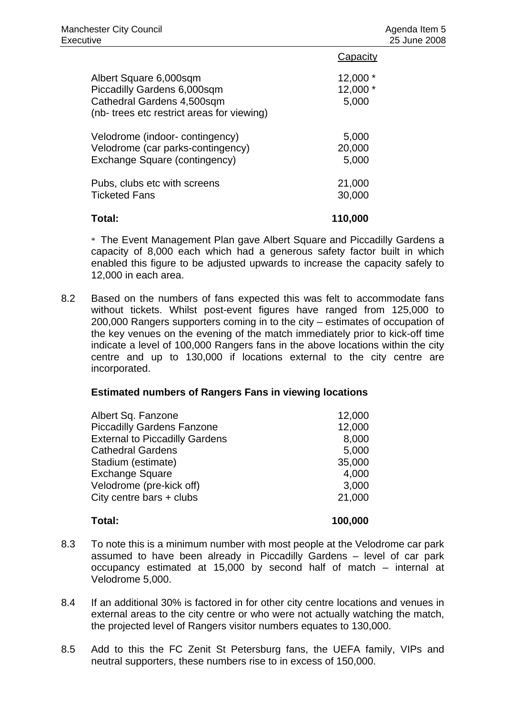|                                            | Capacity  |
|--------------------------------------------|-----------|
| Albert Square 6,000sqm                     | $12,000*$ |
| Piccadilly Gardens 6,000sqm                | $12,000*$ |
| Cathedral Gardens 4,500sqm                 | 5,000     |
| (nb- trees etc restrict areas for viewing) |           |
| Velodrome (indoor-contingency)             | 5,000     |
| Velodrome (car parks-contingency)          | 20,000    |
| Exchange Square (contingency)              | 5,000     |
| Pubs, clubs etc with screens               | 21,000    |
| <b>Ticketed Fans</b>                       | 30,000    |
| Total:                                     | 110,000   |

 \* The Event Management Plan gave Albert Square and Piccadilly Gardens a capacity of 8,000 each which had a generous safety factor built in which enabled this figure to be adjusted upwards to increase the capacity safely to 12,000 in each area.

8.2 Based on the numbers of fans expected this was felt to accommodate fans without tickets. Whilst post-event figures have ranged from 125,000 to 200,000 Rangers supporters coming in to the city – estimates of occupation of the key venues on the evening of the match immediately prior to kick-off time indicate a level of 100,000 Rangers fans in the above locations within the city centre and up to 130,000 if locations external to the city centre are incorporated.

## **Estimated numbers of Rangers Fans in viewing locations**

| Total:                                | 100,000 |
|---------------------------------------|---------|
| City centre bars + clubs              | 21,000  |
| Velodrome (pre-kick off)              | 3,000   |
| <b>Exchange Square</b>                | 4,000   |
| Stadium (estimate)                    | 35,000  |
| <b>Cathedral Gardens</b>              | 5,000   |
| <b>External to Piccadilly Gardens</b> | 8,000   |
| <b>Piccadilly Gardens Fanzone</b>     | 12,000  |
| Albert Sq. Fanzone                    | 12,000  |
|                                       |         |

- 8.3 To note this is a minimum number with most people at the Velodrome car park assumed to have been already in Piccadilly Gardens – level of car park occupancy estimated at 15,000 by second half of match – internal at Velodrome 5,000.
- 8.4 If an additional 30% is factored in for other city centre locations and venues in external areas to the city centre or who were not actually watching the match, the projected level of Rangers visitor numbers equates to 130,000.
- 8.5 Add to this the FC Zenit St Petersburg fans, the UEFA family, VIPs and neutral supporters, these numbers rise to in excess of 150,000.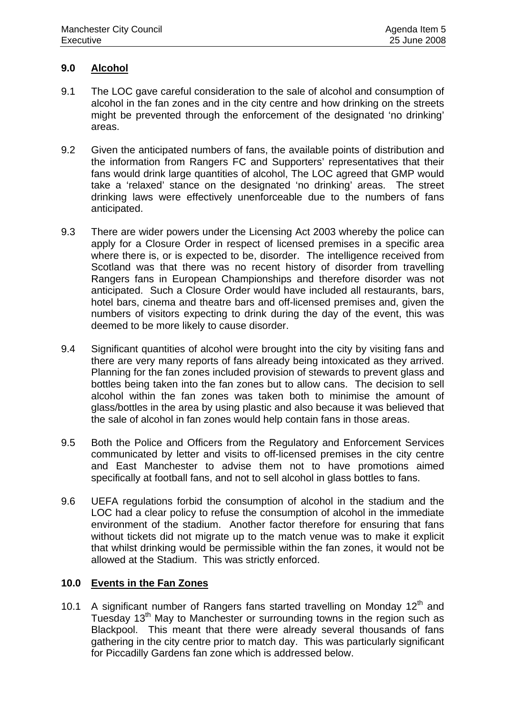## **9.0 Alcohol**

- 9.1 The LOC gave careful consideration to the sale of alcohol and consumption of alcohol in the fan zones and in the city centre and how drinking on the streets might be prevented through the enforcement of the designated 'no drinking' areas.
- 9.2 Given the anticipated numbers of fans, the available points of distribution and the information from Rangers FC and Supporters' representatives that their fans would drink large quantities of alcohol, The LOC agreed that GMP would take a 'relaxed' stance on the designated 'no drinking' areas. The street drinking laws were effectively unenforceable due to the numbers of fans anticipated.
- 9.3 There are wider powers under the Licensing Act 2003 whereby the police can apply for a Closure Order in respect of licensed premises in a specific area where there is, or is expected to be, disorder. The intelligence received from Scotland was that there was no recent history of disorder from travelling Rangers fans in European Championships and therefore disorder was not anticipated. Such a Closure Order would have included all restaurants, bars, hotel bars, cinema and theatre bars and off-licensed premises and, given the numbers of visitors expecting to drink during the day of the event, this was deemed to be more likely to cause disorder.
- 9.4 Significant quantities of alcohol were brought into the city by visiting fans and there are very many reports of fans already being intoxicated as they arrived. Planning for the fan zones included provision of stewards to prevent glass and bottles being taken into the fan zones but to allow cans. The decision to sell alcohol within the fan zones was taken both to minimise the amount of glass/bottles in the area by using plastic and also because it was believed that the sale of alcohol in fan zones would help contain fans in those areas.
- 9.5 Both the Police and Officers from the Regulatory and Enforcement Services communicated by letter and visits to off-licensed premises in the city centre and East Manchester to advise them not to have promotions aimed specifically at football fans, and not to sell alcohol in glass bottles to fans.
- 9.6 UEFA regulations forbid the consumption of alcohol in the stadium and the LOC had a clear policy to refuse the consumption of alcohol in the immediate environment of the stadium. Another factor therefore for ensuring that fans without tickets did not migrate up to the match venue was to make it explicit that whilst drinking would be permissible within the fan zones, it would not be allowed at the Stadium. This was strictly enforced.

## **10.0 Events in the Fan Zones**

10.1 A significant number of Rangers fans started travelling on Monday  $12<sup>th</sup>$  and Tuesday 13<sup>th</sup> May to Manchester or surrounding towns in the region such as Blackpool. This meant that there were already several thousands of fans gathering in the city centre prior to match day. This was particularly significant for Piccadilly Gardens fan zone which is addressed below.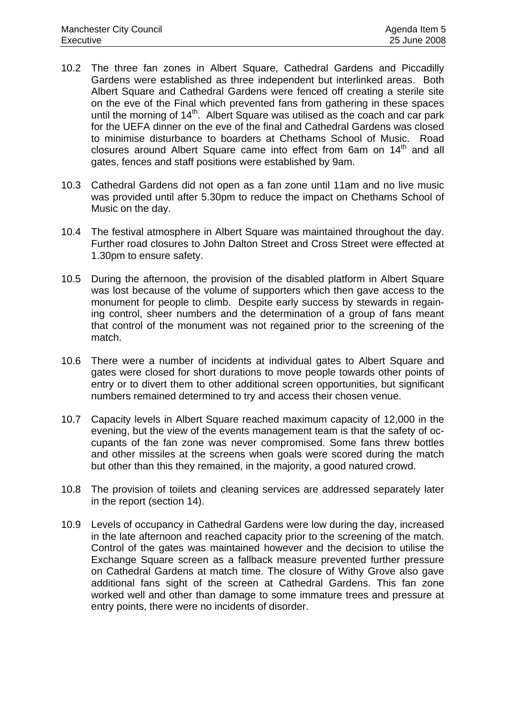- 10.2 The three fan zones in Albert Square, Cathedral Gardens and Piccadilly Gardens were established as three independent but interlinked areas. Both Albert Square and Cathedral Gardens were fenced off creating a sterile site on the eve of the Final which prevented fans from gathering in these spaces until the morning of  $14<sup>th</sup>$ . Albert Square was utilised as the coach and car park for the UEFA dinner on the eve of the final and Cathedral Gardens was closed to minimise disturbance to boarders at Chethams School of Music. Road closures around Albert Square came into effect from 6am on 14<sup>th</sup> and all gates, fences and staff positions were established by 9am.
- 10.3 Cathedral Gardens did not open as a fan zone until 11am and no live music was provided until after 5.30pm to reduce the impact on Chethams School of Music on the day.
- 10.4 The festival atmosphere in Albert Square was maintained throughout the day. Further road closures to John Dalton Street and Cross Street were effected at 1.30pm to ensure safety.
- 10.5 During the afternoon, the provision of the disabled platform in Albert Square was lost because of the volume of supporters which then gave access to the monument for people to climb. Despite early success by stewards in regaining control, sheer numbers and the determination of a group of fans meant that control of the monument was not regained prior to the screening of the match.
- 10.6 There were a number of incidents at individual gates to Albert Square and gates were closed for short durations to move people towards other points of entry or to divert them to other additional screen opportunities, but significant numbers remained determined to try and access their chosen venue.
- 10.7 Capacity levels in Albert Square reached maximum capacity of 12,000 in the evening, but the view of the events management team is that the safety of occupants of the fan zone was never compromised. Some fans threw bottles and other missiles at the screens when goals were scored during the match but other than this they remained, in the majority, a good natured crowd.
- 10.8 The provision of toilets and cleaning services are addressed separately later in the report (section 14).
- 10.9 Levels of occupancy in Cathedral Gardens were low during the day, increased in the late afternoon and reached capacity prior to the screening of the match. Control of the gates was maintained however and the decision to utilise the Exchange Square screen as a fallback measure prevented further pressure on Cathedral Gardens at match time. The closure of Withy Grove also gave additional fans sight of the screen at Cathedral Gardens. This fan zone worked well and other than damage to some immature trees and pressure at entry points, there were no incidents of disorder.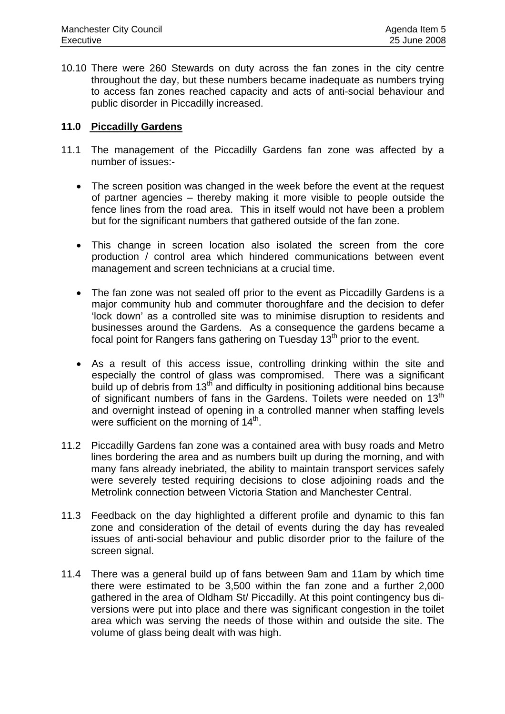10.10 There were 260 Stewards on duty across the fan zones in the city centre throughout the day, but these numbers became inadequate as numbers trying to access fan zones reached capacity and acts of anti-social behaviour and public disorder in Piccadilly increased.

## **11.0 Piccadilly Gardens**

- 11.1 The management of the Piccadilly Gardens fan zone was affected by a number of issues:-
	- The screen position was changed in the week before the event at the request of partner agencies – thereby making it more visible to people outside the fence lines from the road area. This in itself would not have been a problem but for the significant numbers that gathered outside of the fan zone.
	- This change in screen location also isolated the screen from the core production / control area which hindered communications between event management and screen technicians at a crucial time.
	- The fan zone was not sealed off prior to the event as Piccadilly Gardens is a major community hub and commuter thoroughfare and the decision to defer 'lock down' as a controlled site was to minimise disruption to residents and businesses around the Gardens. As a consequence the gardens became a focal point for Rangers fans gathering on Tuesday  $13<sup>th</sup>$  prior to the event.
	- As a result of this access issue, controlling drinking within the site and especially the control of glass was compromised. There was a significant build up of debris from 13<sup>th</sup> and difficulty in positioning additional bins because of significant numbers of fans in the Gardens. Toilets were needed on 13<sup>th</sup> and overnight instead of opening in a controlled manner when staffing levels were sufficient on the morning of  $14<sup>th</sup>$ .
- 11.2 Piccadilly Gardens fan zone was a contained area with busy roads and Metro lines bordering the area and as numbers built up during the morning, and with many fans already inebriated, the ability to maintain transport services safely were severely tested requiring decisions to close adjoining roads and the Metrolink connection between Victoria Station and Manchester Central.
- 11.3 Feedback on the day highlighted a different profile and dynamic to this fan zone and consideration of the detail of events during the day has revealed issues of anti-social behaviour and public disorder prior to the failure of the screen signal.
- 11.4 There was a general build up of fans between 9am and 11am by which time there were estimated to be 3,500 within the fan zone and a further 2,000 gathered in the area of Oldham St/ Piccadilly. At this point contingency bus diversions were put into place and there was significant congestion in the toilet area which was serving the needs of those within and outside the site. The volume of glass being dealt with was high.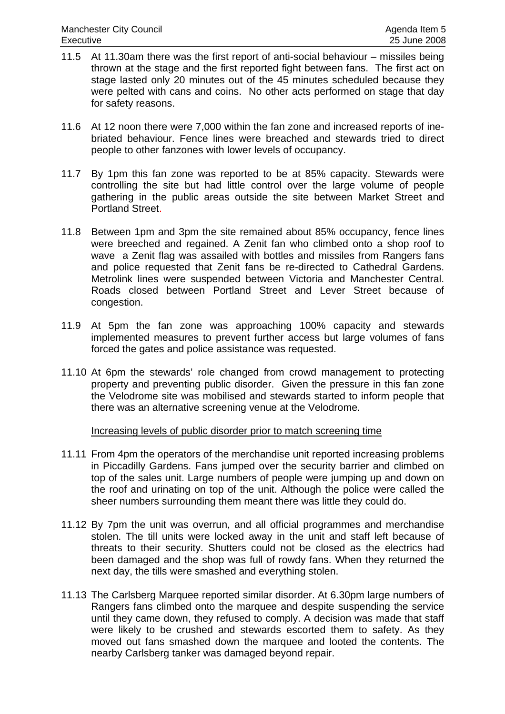- 11.5 At 11.30am there was the first report of anti-social behaviour missiles being thrown at the stage and the first reported fight between fans. The first act on stage lasted only 20 minutes out of the 45 minutes scheduled because they were pelted with cans and coins. No other acts performed on stage that day for safety reasons.
- 11.6 At 12 noon there were 7,000 within the fan zone and increased reports of inebriated behaviour. Fence lines were breached and stewards tried to direct people to other fanzones with lower levels of occupancy.
- 11.7 By 1pm this fan zone was reported to be at 85% capacity. Stewards were controlling the site but had little control over the large volume of people gathering in the public areas outside the site between Market Street and Portland Street.
- 11.8 Between 1pm and 3pm the site remained about 85% occupancy, fence lines were breeched and regained. A Zenit fan who climbed onto a shop roof to wave a Zenit flag was assailed with bottles and missiles from Rangers fans and police requested that Zenit fans be re-directed to Cathedral Gardens. Metrolink lines were suspended between Victoria and Manchester Central. Roads closed between Portland Street and Lever Street because of congestion.
- 11.9 At 5pm the fan zone was approaching 100% capacity and stewards implemented measures to prevent further access but large volumes of fans forced the gates and police assistance was requested.
- 11.10 At 6pm the stewards' role changed from crowd management to protecting property and preventing public disorder. Given the pressure in this fan zone the Velodrome site was mobilised and stewards started to inform people that there was an alternative screening venue at the Velodrome.

## Increasing levels of public disorder prior to match screening time

- 11.11 From 4pm the operators of the merchandise unit reported increasing problems in Piccadilly Gardens. Fans jumped over the security barrier and climbed on top of the sales unit. Large numbers of people were jumping up and down on the roof and urinating on top of the unit. Although the police were called the sheer numbers surrounding them meant there was little they could do.
- 11.12 By 7pm the unit was overrun, and all official programmes and merchandise stolen. The till units were locked away in the unit and staff left because of threats to their security. Shutters could not be closed as the electrics had been damaged and the shop was full of rowdy fans. When they returned the next day, the tills were smashed and everything stolen.
- 11.13 The Carlsberg Marquee reported similar disorder. At 6.30pm large numbers of Rangers fans climbed onto the marquee and despite suspending the service until they came down, they refused to comply. A decision was made that staff were likely to be crushed and stewards escorted them to safety. As they moved out fans smashed down the marquee and looted the contents. The nearby Carlsberg tanker was damaged beyond repair.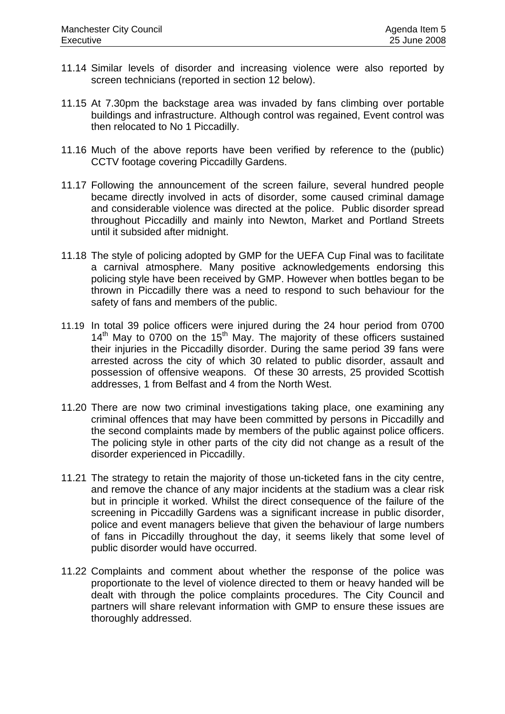- 11.14 Similar levels of disorder and increasing violence were also reported by screen technicians (reported in section 12 below).
- 11.15 At 7.30pm the backstage area was invaded by fans climbing over portable buildings and infrastructure. Although control was regained, Event control was then relocated to No 1 Piccadilly.
- 11.16 Much of the above reports have been verified by reference to the (public) CCTV footage covering Piccadilly Gardens.
- 11.17 Following the announcement of the screen failure, several hundred people became directly involved in acts of disorder, some caused criminal damage and considerable violence was directed at the police. Public disorder spread throughout Piccadilly and mainly into Newton, Market and Portland Streets until it subsided after midnight.
- 11.18 The style of policing adopted by GMP for the UEFA Cup Final was to facilitate a carnival atmosphere. Many positive acknowledgements endorsing this policing style have been received by GMP. However when bottles began to be thrown in Piccadilly there was a need to respond to such behaviour for the safety of fans and members of the public.
- 11.19 In total 39 police officers were injured during the 24 hour period from 0700  $14<sup>th</sup>$  May to 0700 on the 15<sup>th</sup> May. The majority of these officers sustained their injuries in the Piccadilly disorder. During the same period 39 fans were arrested across the city of which 30 related to public disorder, assault and possession of offensive weapons. Of these 30 arrests, 25 provided Scottish addresses, 1 from Belfast and 4 from the North West.
- 11.20 There are now two criminal investigations taking place, one examining any criminal offences that may have been committed by persons in Piccadilly and the second complaints made by members of the public against police officers. The policing style in other parts of the city did not change as a result of the disorder experienced in Piccadilly.
- 11.21 The strategy to retain the majority of those un-ticketed fans in the city centre, and remove the chance of any major incidents at the stadium was a clear risk but in principle it worked. Whilst the direct consequence of the failure of the screening in Piccadilly Gardens was a significant increase in public disorder, police and event managers believe that given the behaviour of large numbers of fans in Piccadilly throughout the day, it seems likely that some level of public disorder would have occurred.
- 11.22 Complaints and comment about whether the response of the police was proportionate to the level of violence directed to them or heavy handed will be dealt with through the police complaints procedures. The City Council and partners will share relevant information with GMP to ensure these issues are thoroughly addressed.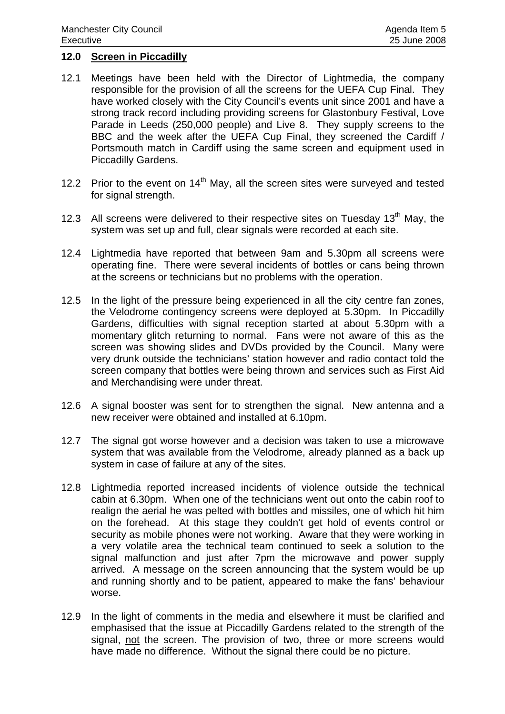## **12.0 Screen in Piccadilly**

- 12.1 Meetings have been held with the Director of Lightmedia, the company responsible for the provision of all the screens for the UEFA Cup Final. They have worked closely with the City Council's events unit since 2001 and have a strong track record including providing screens for Glastonbury Festival, Love Parade in Leeds (250,000 people) and Live 8. They supply screens to the BBC and the week after the UEFA Cup Final, they screened the Cardiff / Portsmouth match in Cardiff using the same screen and equipment used in Piccadilly Gardens.
- 12.2 Prior to the event on  $14<sup>th</sup>$  May, all the screen sites were surveyed and tested for signal strength.
- 12.3 All screens were delivered to their respective sites on Tuesday 13<sup>th</sup> May, the system was set up and full, clear signals were recorded at each site.
- 12.4 Lightmedia have reported that between 9am and 5.30pm all screens were operating fine. There were several incidents of bottles or cans being thrown at the screens or technicians but no problems with the operation.
- 12.5 In the light of the pressure being experienced in all the city centre fan zones, the Velodrome contingency screens were deployed at 5.30pm. In Piccadilly Gardens, difficulties with signal reception started at about 5.30pm with a momentary glitch returning to normal. Fans were not aware of this as the screen was showing slides and DVDs provided by the Council. Many were very drunk outside the technicians' station however and radio contact told the screen company that bottles were being thrown and services such as First Aid and Merchandising were under threat.
- 12.6 A signal booster was sent for to strengthen the signal. New antenna and a new receiver were obtained and installed at 6.10pm.
- 12.7 The signal got worse however and a decision was taken to use a microwave system that was available from the Velodrome, already planned as a back up system in case of failure at any of the sites.
- 12.8 Lightmedia reported increased incidents of violence outside the technical cabin at 6.30pm. When one of the technicians went out onto the cabin roof to realign the aerial he was pelted with bottles and missiles, one of which hit him on the forehead. At this stage they couldn't get hold of events control or security as mobile phones were not working. Aware that they were working in a very volatile area the technical team continued to seek a solution to the signal malfunction and just after 7pm the microwave and power supply arrived. A message on the screen announcing that the system would be up and running shortly and to be patient, appeared to make the fans' behaviour worse.
- 12.9 In the light of comments in the media and elsewhere it must be clarified and emphasised that the issue at Piccadilly Gardens related to the strength of the signal, not the screen. The provision of two, three or more screens would have made no difference. Without the signal there could be no picture.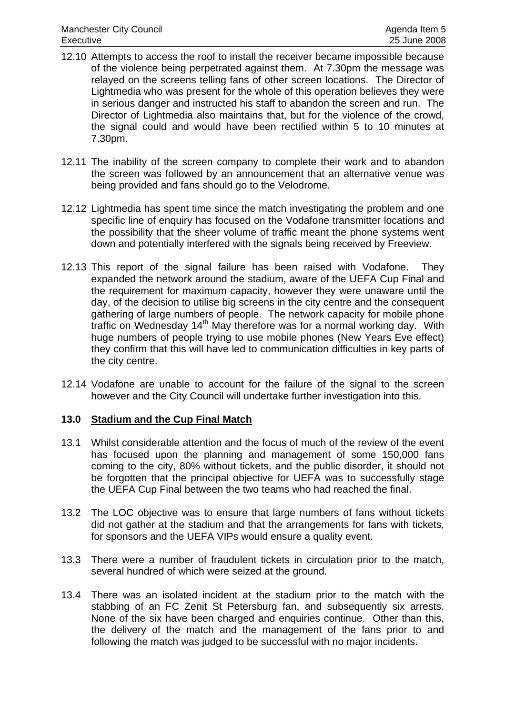- 12.10 Attempts to access the roof to install the receiver became impossible because of the violence being perpetrated against them. At 7.30pm the message was relayed on the screens telling fans of other screen locations. The Director of Lightmedia who was present for the whole of this operation believes they were in serious danger and instructed his staff to abandon the screen and run. The Director of Lightmedia also maintains that, but for the violence of the crowd, the signal could and would have been rectified within 5 to 10 minutes at 7.30pm.
- 12.11 The inability of the screen company to complete their work and to abandon the screen was followed by an announcement that an alternative venue was being provided and fans should go to the Velodrome.
- 12.12 Lightmedia has spent time since the match investigating the problem and one specific line of enquiry has focused on the Vodafone transmitter locations and the possibility that the sheer volume of traffic meant the phone systems went down and potentially interfered with the signals being received by Freeview.
- 12.13 This report of the signal failure has been raised with Vodafone. They expanded the network around the stadium, aware of the UEFA Cup Final and the requirement for maximum capacity, however they were unaware until the day, of the decision to utilise big screens in the city centre and the consequent gathering of large numbers of people. The network capacity for mobile phone traffic on Wednesday 14<sup>th</sup> May therefore was for a normal working day. With huge numbers of people trying to use mobile phones (New Years Eve effect) they confirm that this will have led to communication difficulties in key parts of the city centre.
- 12.14 Vodafone are unable to account for the failure of the signal to the screen however and the City Council will undertake further investigation into this.

## **13.0 Stadium and the Cup Final Match**

- 13.1 Whilst considerable attention and the focus of much of the review of the event has focused upon the planning and management of some 150,000 fans coming to the city, 80% without tickets, and the public disorder, it should not be forgotten that the principal objective for UEFA was to successfully stage the UEFA Cup Final between the two teams who had reached the final.
- 13.2 The LOC objective was to ensure that large numbers of fans without tickets did not gather at the stadium and that the arrangements for fans with tickets, for sponsors and the UEFA VIPs would ensure a quality event.
- 13.3 There were a number of fraudulent tickets in circulation prior to the match, several hundred of which were seized at the ground.
- 13.4 There was an isolated incident at the stadium prior to the match with the stabbing of an FC Zenit St Petersburg fan, and subsequently six arrests. None of the six have been charged and enquiries continue. Other than this, the delivery of the match and the management of the fans prior to and following the match was judged to be successful with no major incidents.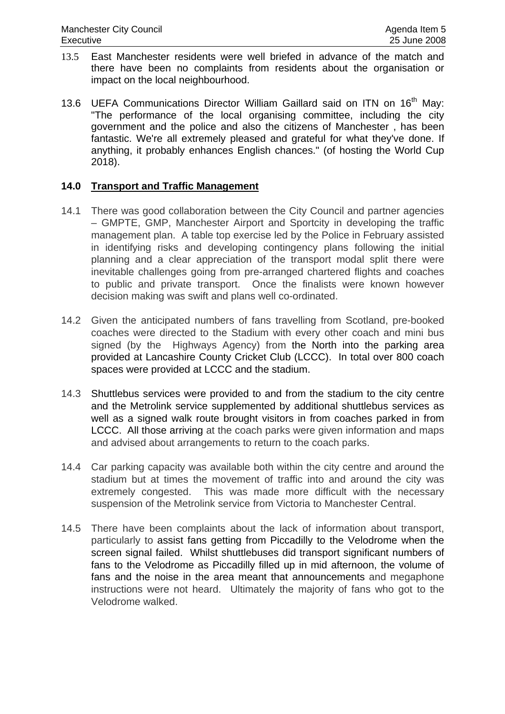- 13.5 East Manchester residents were well briefed in advance of the match and there have been no complaints from residents about the organisation or impact on the local neighbourhood.
- 13.6 UEFA Communications Director William Gaillard said on ITN on 16<sup>th</sup> Mav: "The performance of the local organising committee, including the city government and the police and also the citizens of Manchester , has been fantastic. We're all extremely pleased and grateful for what they've done. If anything, it probably enhances English chances." (of hosting the World Cup 2018).

## **14.0 Transport and Traffic Management**

- 14.1 There was good collaboration between the City Council and partner agencies – GMPTE, GMP, Manchester Airport and Sportcity in developing the traffic management plan. A table top exercise led by the Police in February assisted in identifying risks and developing contingency plans following the initial planning and a clear appreciation of the transport modal split there were inevitable challenges going from pre-arranged chartered flights and coaches to public and private transport. Once the finalists were known however decision making was swift and plans well co-ordinated.
- 14.2 Given the anticipated numbers of fans travelling from Scotland, pre-booked coaches were directed to the Stadium with every other coach and mini bus signed (by the Highways Agency) from the North into the parking area provided at Lancashire County Cricket Club (LCCC). In total over 800 coach spaces were provided at LCCC and the stadium.
- 14.3 Shuttlebus services were provided to and from the stadium to the city centre and the Metrolink service supplemented by additional shuttlebus services as well as a signed walk route brought visitors in from coaches parked in from LCCC. All those arriving at the coach parks were given information and maps and advised about arrangements to return to the coach parks.
- 14.4 Car parking capacity was available both within the city centre and around the stadium but at times the movement of traffic into and around the city was extremely congested. This was made more difficult with the necessary suspension of the Metrolink service from Victoria to Manchester Central.
- 14.5 There have been complaints about the lack of information about transport, particularly to assist fans getting from Piccadilly to the Velodrome when the screen signal failed. Whilst shuttlebuses did transport significant numbers of fans to the Velodrome as Piccadilly filled up in mid afternoon, the volume of fans and the noise in the area meant that announcements and megaphone instructions were not heard. Ultimately the majority of fans who got to the Velodrome walked.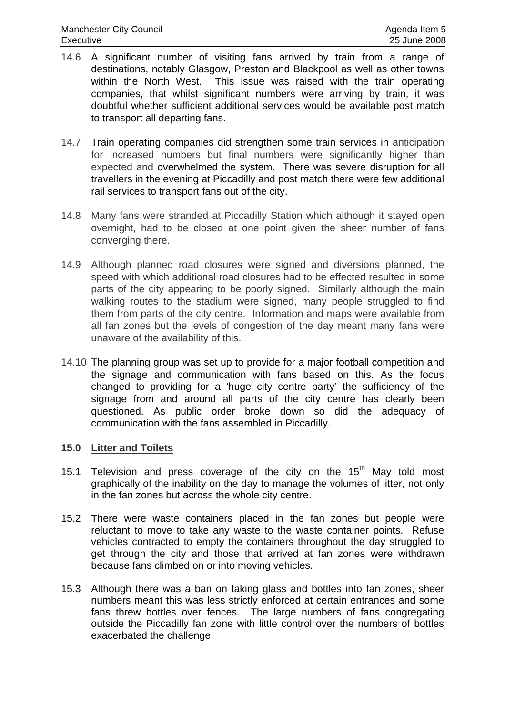- 14.6 A significant number of visiting fans arrived by train from a range of destinations, notably Glasgow, Preston and Blackpool as well as other towns within the North West. This issue was raised with the train operating companies, that whilst significant numbers were arriving by train, it was doubtful whether sufficient additional services would be available post match to transport all departing fans.
- 14.7 Train operating companies did strengthen some train services in anticipation for increased numbers but final numbers were significantly higher than expected and overwhelmed the system. There was severe disruption for all travellers in the evening at Piccadilly and post match there were few additional rail services to transport fans out of the city.
- 14.8 Many fans were stranded at Piccadilly Station which although it stayed open overnight, had to be closed at one point given the sheer number of fans converging there.
- 14.9 Although planned road closures were signed and diversions planned, the speed with which additional road closures had to be effected resulted in some parts of the city appearing to be poorly signed. Similarly although the main walking routes to the stadium were signed, many people struggled to find them from parts of the city centre. Information and maps were available from all fan zones but the levels of congestion of the day meant many fans were unaware of the availability of this.
- 14.10 The planning group was set up to provide for a major football competition and the signage and communication with fans based on this. As the focus changed to providing for a 'huge city centre party' the sufficiency of the signage from and around all parts of the city centre has clearly been questioned. As public order broke down so did the adequacy of communication with the fans assembled in Piccadilly.

## **15.0 Litter and Toilets**

- 15.1 Television and press coverage of the city on the  $15<sup>th</sup>$  May told most graphically of the inability on the day to manage the volumes of litter, not only in the fan zones but across the whole city centre.
- 15.2 There were waste containers placed in the fan zones but people were reluctant to move to take any waste to the waste container points. Refuse vehicles contracted to empty the containers throughout the day struggled to get through the city and those that arrived at fan zones were withdrawn because fans climbed on or into moving vehicles.
- 15.3 Although there was a ban on taking glass and bottles into fan zones, sheer numbers meant this was less strictly enforced at certain entrances and some fans threw bottles over fences. The large numbers of fans congregating outside the Piccadilly fan zone with little control over the numbers of bottles exacerbated the challenge.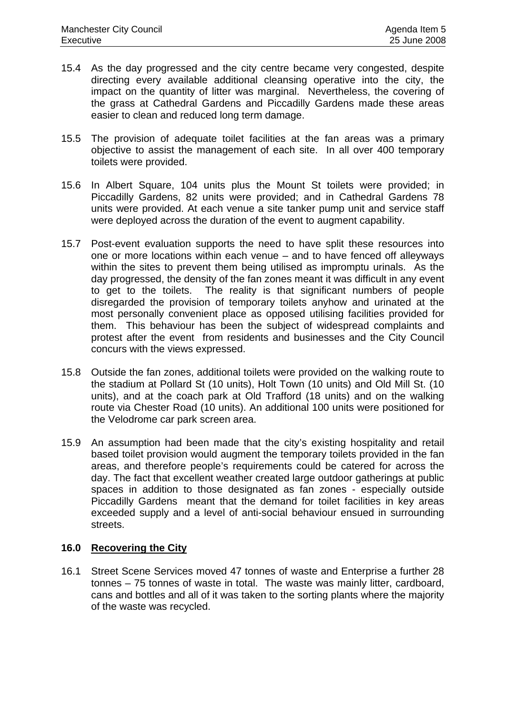- 15.4 As the day progressed and the city centre became very congested, despite directing every available additional cleansing operative into the city, the impact on the quantity of litter was marginal. Nevertheless, the covering of the grass at Cathedral Gardens and Piccadilly Gardens made these areas easier to clean and reduced long term damage.
- 15.5 The provision of adequate toilet facilities at the fan areas was a primary objective to assist the management of each site. In all over 400 temporary toilets were provided.
- 15.6 In Albert Square, 104 units plus the Mount St toilets were provided; in Piccadilly Gardens, 82 units were provided; and in Cathedral Gardens 78 units were provided. At each venue a site tanker pump unit and service staff were deployed across the duration of the event to augment capability.
- 15.7 Post-event evaluation supports the need to have split these resources into one or more locations within each venue – and to have fenced off alleyways within the sites to prevent them being utilised as impromptu urinals. As the day progressed, the density of the fan zones meant it was difficult in any event to get to the toilets. The reality is that significant numbers of people disregarded the provision of temporary toilets anyhow and urinated at the most personally convenient place as opposed utilising facilities provided for them. This behaviour has been the subject of widespread complaints and protest after the event from residents and businesses and the City Council concurs with the views expressed.
- 15.8 Outside the fan zones, additional toilets were provided on the walking route to the stadium at Pollard St (10 units), Holt Town (10 units) and Old Mill St. (10 units), and at the coach park at Old Trafford (18 units) and on the walking route via Chester Road (10 units). An additional 100 units were positioned for the Velodrome car park screen area.
- 15.9 An assumption had been made that the city's existing hospitality and retail based toilet provision would augment the temporary toilets provided in the fan areas, and therefore people's requirements could be catered for across the day. The fact that excellent weather created large outdoor gatherings at public spaces in addition to those designated as fan zones - especially outside Piccadilly Gardens meant that the demand for toilet facilities in key areas exceeded supply and a level of anti-social behaviour ensued in surrounding streets.

## **16.0 Recovering the City**

16.1 Street Scene Services moved 47 tonnes of waste and Enterprise a further 28 tonnes – 75 tonnes of waste in total. The waste was mainly litter, cardboard, cans and bottles and all of it was taken to the sorting plants where the majority of the waste was recycled.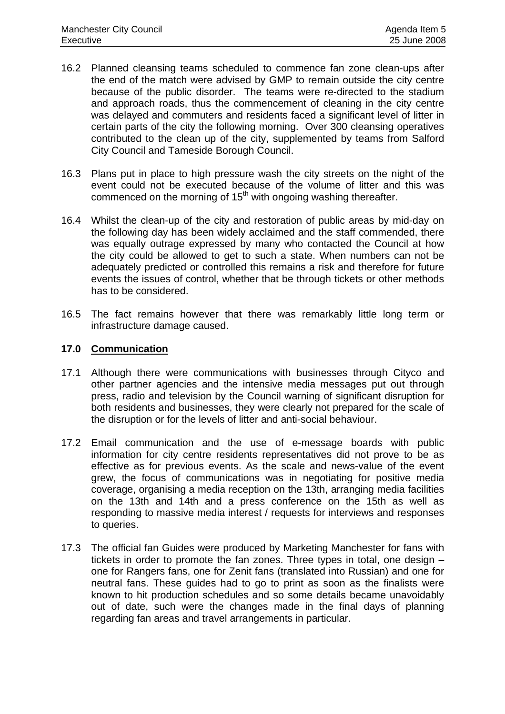- 16.2 Planned cleansing teams scheduled to commence fan zone clean-ups after the end of the match were advised by GMP to remain outside the city centre because of the public disorder. The teams were re-directed to the stadium and approach roads, thus the commencement of cleaning in the city centre was delayed and commuters and residents faced a significant level of litter in certain parts of the city the following morning. Over 300 cleansing operatives contributed to the clean up of the city, supplemented by teams from Salford City Council and Tameside Borough Council.
- 16.3 Plans put in place to high pressure wash the city streets on the night of the event could not be executed because of the volume of litter and this was commenced on the morning of  $15<sup>th</sup>$  with ongoing washing thereafter.
- 16.4 Whilst the clean-up of the city and restoration of public areas by mid-day on the following day has been widely acclaimed and the staff commended, there was equally outrage expressed by many who contacted the Council at how the city could be allowed to get to such a state. When numbers can not be adequately predicted or controlled this remains a risk and therefore for future events the issues of control, whether that be through tickets or other methods has to be considered.
- 16.5 The fact remains however that there was remarkably little long term or infrastructure damage caused.

## **17.0 Communication**

- 17.1 Although there were communications with businesses through Cityco and other partner agencies and the intensive media messages put out through press, radio and television by the Council warning of significant disruption for both residents and businesses, they were clearly not prepared for the scale of the disruption or for the levels of litter and anti-social behaviour.
- 17.2 Email communication and the use of e-message boards with public information for city centre residents representatives did not prove to be as effective as for previous events. As the scale and news-value of the event grew, the focus of communications was in negotiating for positive media coverage, organising a media reception on the 13th, arranging media facilities on the 13th and 14th and a press conference on the 15th as well as responding to massive media interest / requests for interviews and responses to queries.
- 17.3 The official fan Guides were produced by Marketing Manchester for fans with tickets in order to promote the fan zones. Three types in total, one design – one for Rangers fans, one for Zenit fans (translated into Russian) and one for neutral fans. These guides had to go to print as soon as the finalists were known to hit production schedules and so some details became unavoidably out of date, such were the changes made in the final days of planning regarding fan areas and travel arrangements in particular.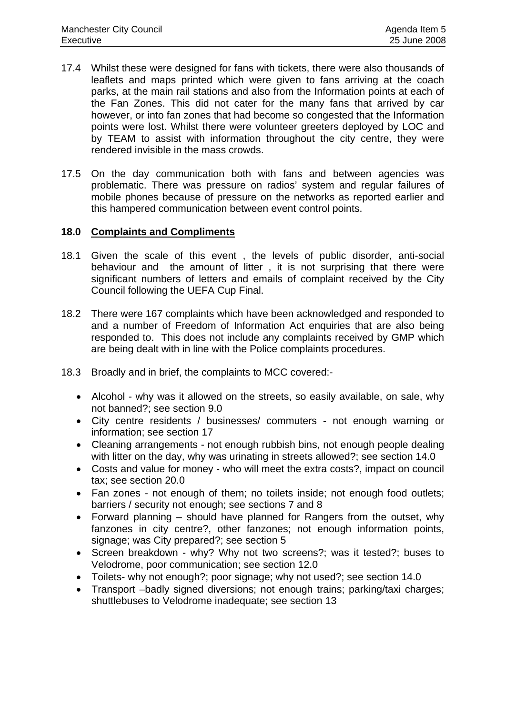- 17.4 Whilst these were designed for fans with tickets, there were also thousands of leaflets and maps printed which were given to fans arriving at the coach parks, at the main rail stations and also from the Information points at each of the Fan Zones. This did not cater for the many fans that arrived by car however, or into fan zones that had become so congested that the Information points were lost. Whilst there were volunteer greeters deployed by LOC and by TEAM to assist with information throughout the city centre, they were rendered invisible in the mass crowds.
- 17.5 On the day communication both with fans and between agencies was problematic. There was pressure on radios' system and regular failures of mobile phones because of pressure on the networks as reported earlier and this hampered communication between event control points.

## **18.0 Complaints and Compliments**

- 18.1 Given the scale of this event , the levels of public disorder, anti-social behaviour and the amount of litter , it is not surprising that there were significant numbers of letters and emails of complaint received by the City Council following the UEFA Cup Final.
- 18.2 There were 167 complaints which have been acknowledged and responded to and a number of Freedom of Information Act enquiries that are also being responded to. This does not include any complaints received by GMP which are being dealt with in line with the Police complaints procedures.
- 18.3 Broadly and in brief, the complaints to MCC covered:-
	- Alcohol why was it allowed on the streets, so easily available, on sale, why not banned?; see section 9.0
	- City centre residents / businesses/ commuters not enough warning or information; see section 17
	- Cleaning arrangements not enough rubbish bins, not enough people dealing with litter on the day, why was urinating in streets allowed?; see section 14.0
	- Costs and value for money who will meet the extra costs?, impact on council tax; see section 20.0
	- Fan zones not enough of them; no toilets inside; not enough food outlets; barriers / security not enough; see sections 7 and 8
	- Forward planning should have planned for Rangers from the outset, why fanzones in city centre?, other fanzones; not enough information points, signage; was City prepared?; see section 5
	- Screen breakdown why? Why not two screens?; was it tested?; buses to Velodrome, poor communication; see section 12.0
	- Toilets- why not enough?; poor signage; why not used?; see section 14.0
	- Transport –badly signed diversions; not enough trains; parking/taxi charges; shuttlebuses to Velodrome inadequate; see section 13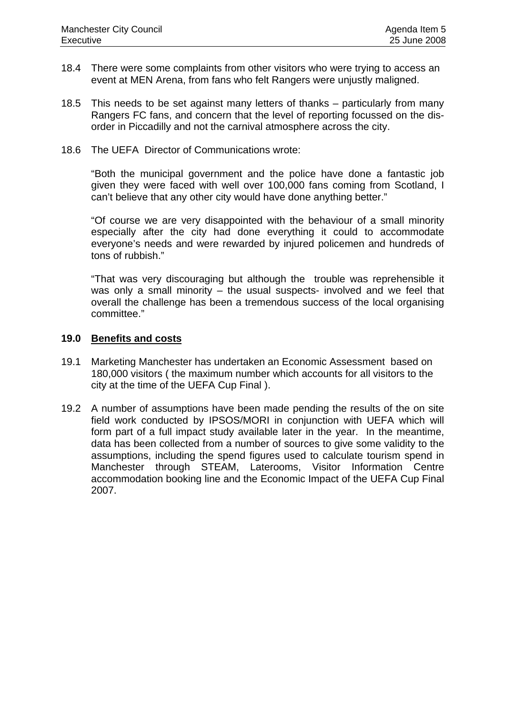- 18.4 There were some complaints from other visitors who were trying to access an event at MEN Arena, from fans who felt Rangers were unjustly maligned.
- 18.5 This needs to be set against many letters of thanks particularly from many Rangers FC fans, and concern that the level of reporting focussed on the disorder in Piccadilly and not the carnival atmosphere across the city.
- 18.6 The UEFA Director of Communications wrote:

 "Both the municipal government and the police have done a fantastic job given they were faced with well over 100,000 fans coming from Scotland, I can't believe that any other city would have done anything better."

 "Of course we are very disappointed with the behaviour of a small minority especially after the city had done everything it could to accommodate everyone's needs and were rewarded by injured policemen and hundreds of tons of rubbish."

 "That was very discouraging but although the trouble was reprehensible it was only a small minority – the usual suspects- involved and we feel that overall the challenge has been a tremendous success of the local organising committee."

## **19.0 Benefits and costs**

- 19.1 Marketing Manchester has undertaken an Economic Assessment based on 180,000 visitors ( the maximum number which accounts for all visitors to the city at the time of the UEFA Cup Final ).
- 19.2 A number of assumptions have been made pending the results of the on site field work conducted by IPSOS/MORI in conjunction with UEFA which will form part of a full impact study available later in the year. In the meantime, data has been collected from a number of sources to give some validity to the assumptions, including the spend figures used to calculate tourism spend in Manchester through STEAM, Laterooms, Visitor Information Centre accommodation booking line and the Economic Impact of the UEFA Cup Final 2007.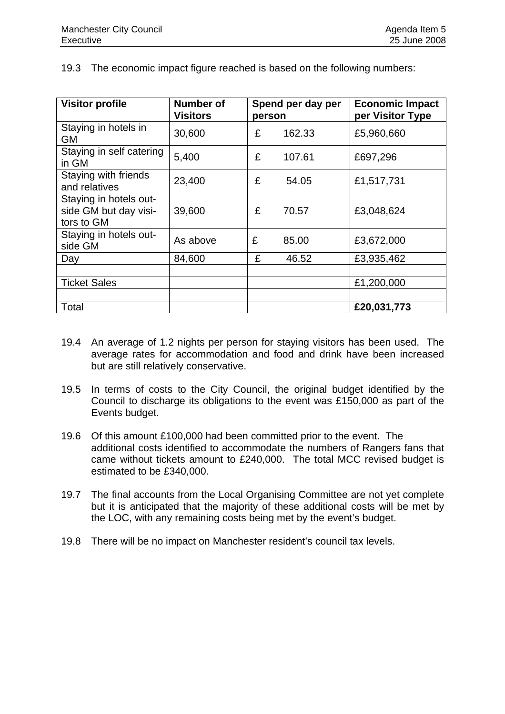19.3 The economic impact figure reached is based on the following numbers:

| <b>Visitor profile</b>                                        | <b>Number of</b><br><b>Visitors</b> | person | Spend per day per | <b>Economic Impact</b><br>per Visitor Type |
|---------------------------------------------------------------|-------------------------------------|--------|-------------------|--------------------------------------------|
| Staying in hotels in<br><b>GM</b>                             | 30,600                              | £      | 162.33            | £5,960,660                                 |
| Staying in self catering<br>in GM                             | 5,400                               | £      | 107.61            | £697,296                                   |
| Staying with friends<br>and relatives                         | 23,400                              | £      | 54.05             | £1,517,731                                 |
| Staying in hotels out-<br>side GM but day visi-<br>tors to GM | 39,600                              | £      | 70.57             | £3,048,624                                 |
| Staying in hotels out-<br>side GM                             | As above                            | £      | 85.00             | £3,672,000                                 |
| Day                                                           | 84,600                              | £      | 46.52             | £3,935,462                                 |
|                                                               |                                     |        |                   |                                            |
| <b>Ticket Sales</b>                                           |                                     |        |                   | £1,200,000                                 |
|                                                               |                                     |        |                   |                                            |
| Total                                                         |                                     |        |                   | £20,031,773                                |

- 19.4 An average of 1.2 nights per person for staying visitors has been used. The average rates for accommodation and food and drink have been increased but are still relatively conservative.
- 19.5 In terms of costs to the City Council, the original budget identified by the Council to discharge its obligations to the event was £150,000 as part of the Events budget.
- 19.6 Of this amount £100,000 had been committed prior to the event. The additional costs identified to accommodate the numbers of Rangers fans that came without tickets amount to £240,000. The total MCC revised budget is estimated to be £340,000.
- 19.7 The final accounts from the Local Organising Committee are not yet complete but it is anticipated that the majority of these additional costs will be met by the LOC, with any remaining costs being met by the event's budget.
- 19.8 There will be no impact on Manchester resident's council tax levels.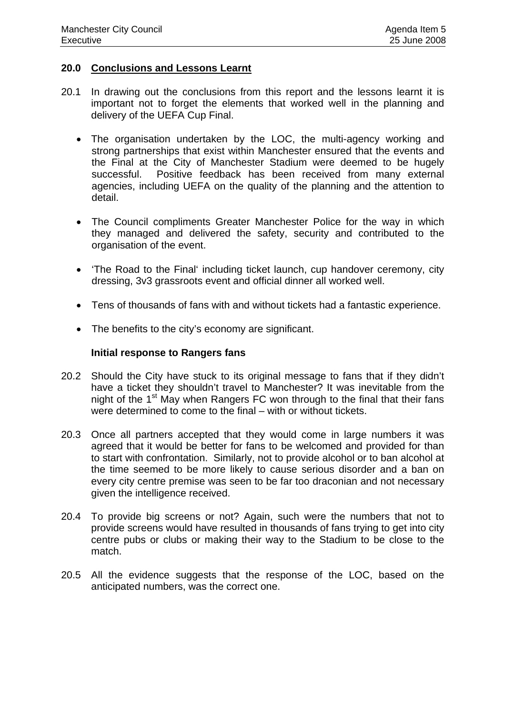## **20.0 Conclusions and Lessons Learnt**

- 20.1 In drawing out the conclusions from this report and the lessons learnt it is important not to forget the elements that worked well in the planning and delivery of the UEFA Cup Final.
	- The organisation undertaken by the LOC, the multi-agency working and strong partnerships that exist within Manchester ensured that the events and the Final at the City of Manchester Stadium were deemed to be hugely successful. Positive feedback has been received from many external agencies, including UEFA on the quality of the planning and the attention to detail.
	- The Council compliments Greater Manchester Police for the way in which they managed and delivered the safety, security and contributed to the organisation of the event.
	- 'The Road to the Final' including ticket launch, cup handover ceremony, city dressing, 3v3 grassroots event and official dinner all worked well.
	- Tens of thousands of fans with and without tickets had a fantastic experience.
	- The benefits to the city's economy are significant.

## **Initial response to Rangers fans**

- 20.2 Should the City have stuck to its original message to fans that if they didn't have a ticket they shouldn't travel to Manchester? It was inevitable from the night of the 1<sup>st</sup> May when Rangers FC won through to the final that their fans were determined to come to the final – with or without tickets.
- 20.3 Once all partners accepted that they would come in large numbers it was agreed that it would be better for fans to be welcomed and provided for than to start with confrontation. Similarly, not to provide alcohol or to ban alcohol at the time seemed to be more likely to cause serious disorder and a ban on every city centre premise was seen to be far too draconian and not necessary given the intelligence received.
- 20.4 To provide big screens or not? Again, such were the numbers that not to provide screens would have resulted in thousands of fans trying to get into city centre pubs or clubs or making their way to the Stadium to be close to the match.
- 20.5 All the evidence suggests that the response of the LOC, based on the anticipated numbers, was the correct one.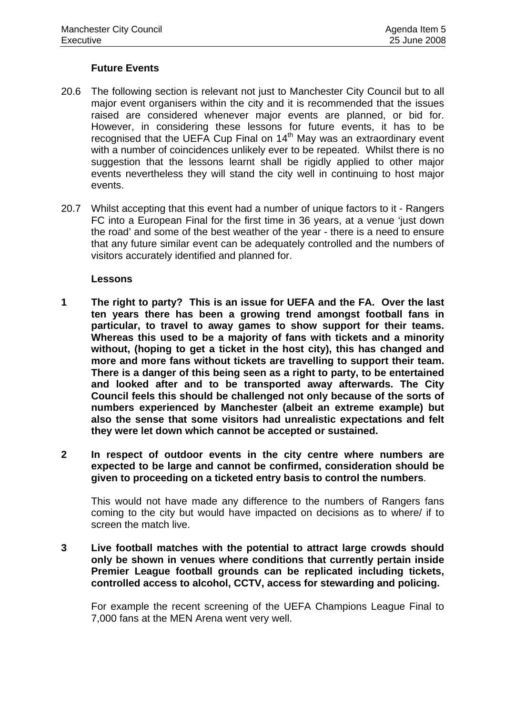## **Future Events**

- 20.6 The following section is relevant not just to Manchester City Council but to all major event organisers within the city and it is recommended that the issues raised are considered whenever major events are planned, or bid for. However, in considering these lessons for future events, it has to be recognised that the UEFA Cup Final on 14<sup>th</sup> May was an extraordinary event with a number of coincidences unlikely ever to be repeated. Whilst there is no suggestion that the lessons learnt shall be rigidly applied to other major events nevertheless they will stand the city well in continuing to host major events.
- 20.7 Whilst accepting that this event had a number of unique factors to it Rangers FC into a European Final for the first time in 36 years, at a venue 'just down the road' and some of the best weather of the year - there is a need to ensure that any future similar event can be adequately controlled and the numbers of visitors accurately identified and planned for.

## **Lessons**

- **1 The right to party? This is an issue for UEFA and the FA. Over the last ten years there has been a growing trend amongst football fans in particular, to travel to away games to show support for their teams. Whereas this used to be a majority of fans with tickets and a minority without, (hoping to get a ticket in the host city), this has changed and more and more fans without tickets are travelling to support their team. There is a danger of this being seen as a right to party, to be entertained and looked after and to be transported away afterwards. The City Council feels this should be challenged not only because of the sorts of numbers experienced by Manchester (albeit an extreme example) but also the sense that some visitors had unrealistic expectations and felt they were let down which cannot be accepted or sustained.**
- **2 In respect of outdoor events in the city centre where numbers are expected to be large and cannot be confirmed, consideration should be given to proceeding on a ticketed entry basis to control the numbers**.

This would not have made any difference to the numbers of Rangers fans coming to the city but would have impacted on decisions as to where/ if to screen the match live.

**3 Live football matches with the potential to attract large crowds should only be shown in venues where conditions that currently pertain inside Premier League football grounds can be replicated including tickets, controlled access to alcohol, CCTV, access for stewarding and policing.** 

For example the recent screening of the UEFA Champions League Final to 7,000 fans at the MEN Arena went very well.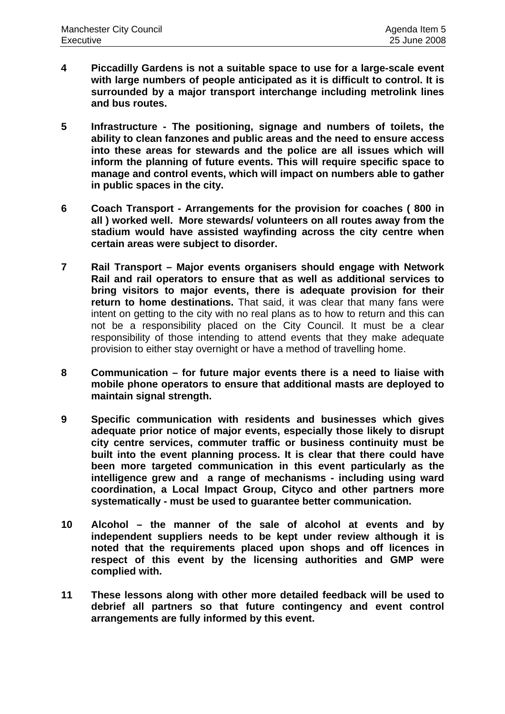- **4 Piccadilly Gardens is not a suitable space to use for a large-scale event with large numbers of people anticipated as it is difficult to control. It is surrounded by a major transport interchange including metrolink lines and bus routes.**
- **5 Infrastructure The positioning, signage and numbers of toilets, the ability to clean fanzones and public areas and the need to ensure access into these areas for stewards and the police are all issues which will inform the planning of future events. This will require specific space to manage and control events, which will impact on numbers able to gather in public spaces in the city.**
- **6 Coach Transport Arrangements for the provision for coaches ( 800 in all ) worked well. More stewards/ volunteers on all routes away from the stadium would have assisted wayfinding across the city centre when certain areas were subject to disorder.**
- **7 Rail Transport Major events organisers should engage with Network Rail and rail operators to ensure that as well as additional services to bring visitors to major events, there is adequate provision for their return to home destinations.** That said, it was clear that many fans were intent on getting to the city with no real plans as to how to return and this can not be a responsibility placed on the City Council. It must be a clear responsibility of those intending to attend events that they make adequate provision to either stay overnight or have a method of travelling home.
- **8 Communication for future major events there is a need to liaise with mobile phone operators to ensure that additional masts are deployed to maintain signal strength.**
- **9 Specific communication with residents and businesses which gives adequate prior notice of major events, especially those likely to disrupt city centre services, commuter traffic or business continuity must be built into the event planning process. It is clear that there could have been more targeted communication in this event particularly as the intelligence grew and a range of mechanisms - including using ward coordination, a Local Impact Group, Cityco and other partners more systematically - must be used to guarantee better communication.**
- **10 Alcohol the manner of the sale of alcohol at events and by independent suppliers needs to be kept under review although it is noted that the requirements placed upon shops and off licences in respect of this event by the licensing authorities and GMP were complied with.**
- **11 These lessons along with other more detailed feedback will be used to debrief all partners so that future contingency and event control arrangements are fully informed by this event.**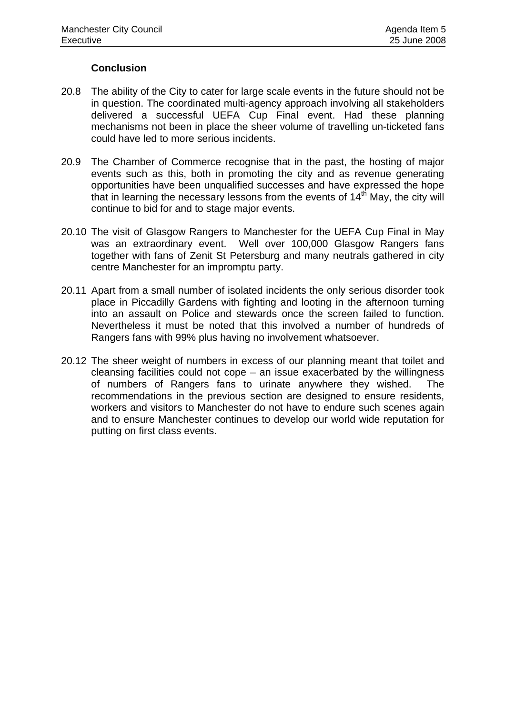## **Conclusion**

- 20.8 The ability of the City to cater for large scale events in the future should not be in question. The coordinated multi-agency approach involving all stakeholders delivered a successful UEFA Cup Final event. Had these planning mechanisms not been in place the sheer volume of travelling un-ticketed fans could have led to more serious incidents.
- 20.9 The Chamber of Commerce recognise that in the past, the hosting of major events such as this, both in promoting the city and as revenue generating opportunities have been unqualified successes and have expressed the hope that in learning the necessary lessons from the events of  $14<sup>th</sup>$  May, the city will continue to bid for and to stage major events.
- 20.10 The visit of Glasgow Rangers to Manchester for the UEFA Cup Final in May was an extraordinary event. Well over 100,000 Glasgow Rangers fans together with fans of Zenit St Petersburg and many neutrals gathered in city centre Manchester for an impromptu party.
- 20.11 Apart from a small number of isolated incidents the only serious disorder took place in Piccadilly Gardens with fighting and looting in the afternoon turning into an assault on Police and stewards once the screen failed to function. Nevertheless it must be noted that this involved a number of hundreds of Rangers fans with 99% plus having no involvement whatsoever.
- 20.12 The sheer weight of numbers in excess of our planning meant that toilet and cleansing facilities could not cope – an issue exacerbated by the willingness of numbers of Rangers fans to urinate anywhere they wished. The recommendations in the previous section are designed to ensure residents, workers and visitors to Manchester do not have to endure such scenes again and to ensure Manchester continues to develop our world wide reputation for putting on first class events.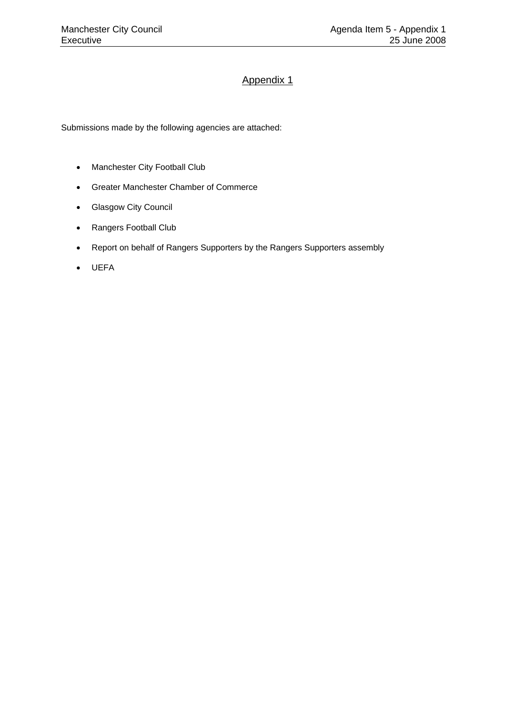# Appendix 1

Submissions made by the following agencies are attached:

- Manchester City Football Club
- Greater Manchester Chamber of Commerce
- Glasgow City Council
- Rangers Football Club
- Report on behalf of Rangers Supporters by the Rangers Supporters assembly
- UEFA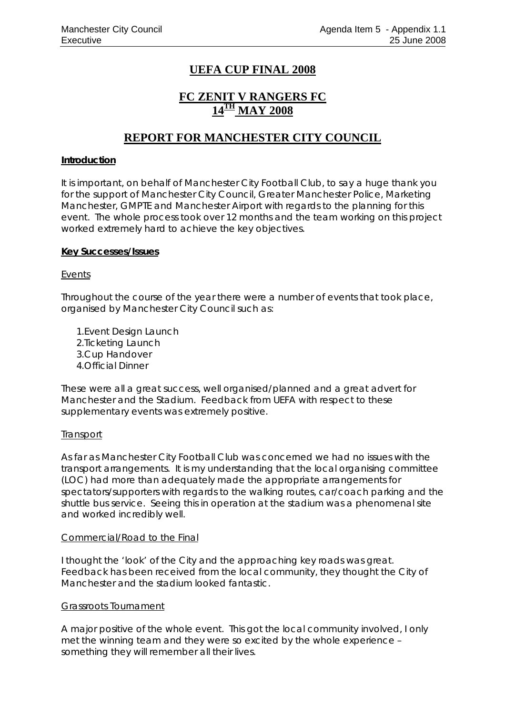# **UEFA CUP FINAL 2008**

# **FC ZENIT V RANGERS FC 14TH MAY 2008**

# **REPORT FOR MANCHESTER CITY COUNCIL**

### **Introduction**

It is important, on behalf of Manchester City Football Club, to say a huge thank you for the support of Manchester City Council, Greater Manchester Police, Marketing Manchester, GMPTE and Manchester Airport with regards to the planning for this event. The whole process took over 12 months and the team working on this project worked extremely hard to achieve the key objectives.

### **Key Successes/Issues**

### Events

Throughout the course of the year there were a number of events that took place, organised by Manchester City Council such as:

- 1.Event Design Launch
- 2.Ticketing Launch
- 3.Cup Handover
- 4.Official Dinner

These were all a great success, well organised/planned and a great advert for Manchester and the Stadium. Feedback from UEFA with respect to these supplementary events was extremely positive.

## **Transport**

As far as Manchester City Football Club was concerned we had no issues with the transport arrangements. It is my understanding that the local organising committee (LOC) had more than adequately made the appropriate arrangements for spectators/supporters with regards to the walking routes, car/coach parking and the shuttle bus service. Seeing this in operation at the stadium was a phenomenal site and worked incredibly well.

## Commercial/Road to the Final

I thought the 'look' of the City and the approaching key roads was great. Feedback has been received from the local community, they thought the City of Manchester and the stadium looked fantastic.

## Grassroots Tournament

A major positive of the whole event. This got the local community involved, I only met the winning team and they were so excited by the whole experience – something they will remember all their lives.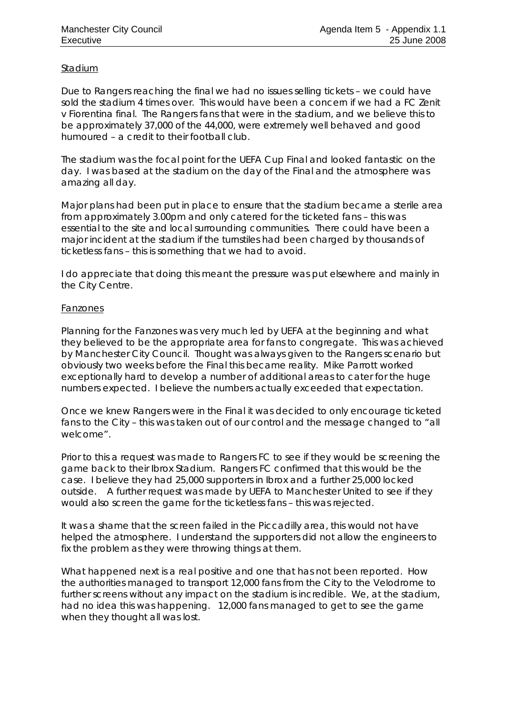### Stadium

Due to Rangers reaching the final we had no issues selling tickets – we could have sold the stadium 4 times over. This would have been a concern if we had a FC Zenit v Fiorentina final. The Rangers fans that were in the stadium, and we believe this to be approximately 37,000 of the 44,000, were extremely well behaved and good humoured – a credit to their football club.

The stadium was the focal point for the UEFA Cup Final and looked fantastic on the day. I was based at the stadium on the day of the Final and the atmosphere was amazing all day.

Major plans had been put in place to ensure that the stadium became a sterile area from approximately 3.00pm and only catered for the ticketed fans – this was essential to the site and local surrounding communities. There could have been a major incident at the stadium if the turnstiles had been charged by thousands of ticketless fans – this is something that we had to avoid.

I do appreciate that doing this meant the pressure was put elsewhere and mainly in the City Centre.

### Fanzones

Planning for the Fanzones was very much led by UEFA at the beginning and what they believed to be the appropriate area for fans to congregate. This was achieved by Manchester City Council. Thought was always given to the Rangers scenario but obviously two weeks before the Final this became reality. Mike Parrott worked exceptionally hard to develop a number of additional areas to cater for the huge numbers expected. I believe the numbers actually exceeded that expectation.

Once we knew Rangers were in the Final it was decided to only encourage ticketed fans to the City – this was taken out of our control and the message changed to "all welcome".

Prior to this a request was made to Rangers FC to see if they would be screening the game back to their Ibrox Stadium. Rangers FC confirmed that this would be the case. I believe they had 25,000 supporters in Ibrox and a further 25,000 locked outside. A further request was made by UEFA to Manchester United to see if they would also screen the game for the ticketless fans – this was rejected.

It was a shame that the screen failed in the Piccadilly area, this would not have helped the atmosphere. I understand the supporters did not allow the engineers to fix the problem as they were throwing things at them.

What happened next is a real positive and one that has not been reported. How the authorities managed to transport 12,000 fans from the City to the Velodrome to further screens without any impact on the stadium is incredible. We, at the stadium, had no idea this was happening. 12,000 fans managed to get to see the game when they thought all was lost.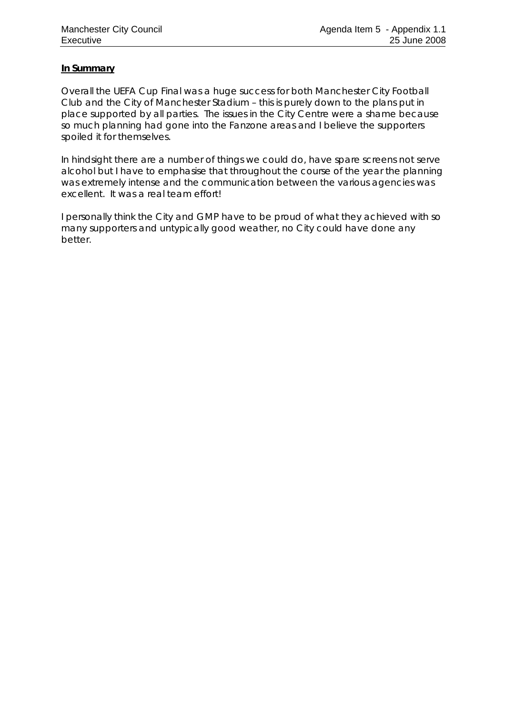### **In Summary**

Overall the UEFA Cup Final was a huge success for both Manchester City Football Club and the City of Manchester Stadium – this is purely down to the plans put in place supported by all parties. The issues in the City Centre were a shame because so much planning had gone into the Fanzone areas and I believe the supporters spoiled it for themselves.

In hindsight there are a number of things we could do, have spare screens not serve alcohol but I have to emphasise that throughout the course of the year the planning was extremely intense and the communication between the various agencies was excellent. It was a real team effort!

I personally think the City and GMP have to be proud of what they achieved with so many supporters and untypically good weather, no City could have done any better.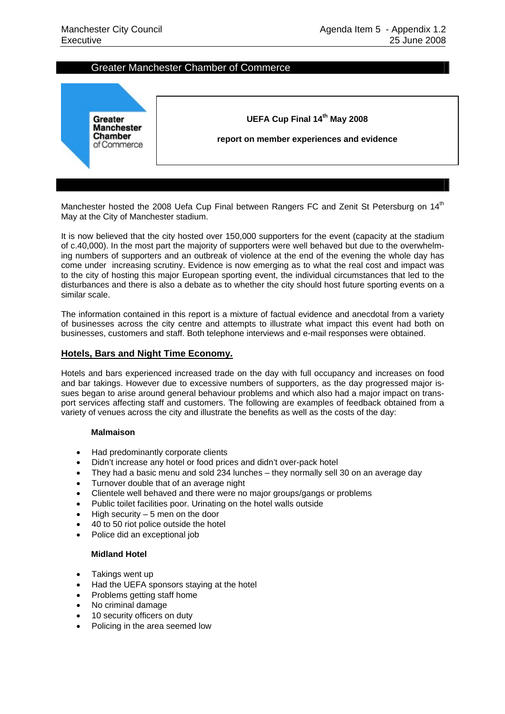### Greater Manchester Chamber of Commerce



Manchester hosted the 2008 Uefa Cup Final between Rangers FC and Zenit St Petersburg on 14<sup>th</sup> May at the City of Manchester stadium.

It is now believed that the city hosted over 150,000 supporters for the event (capacity at the stadium of c.40,000). In the most part the majority of supporters were well behaved but due to the overwhelming numbers of supporters and an outbreak of violence at the end of the evening the whole day has come under increasing scrutiny. Evidence is now emerging as to what the real cost and impact was to the city of hosting this major European sporting event, the individual circumstances that led to the disturbances and there is also a debate as to whether the city should host future sporting events on a similar scale.

The information contained in this report is a mixture of factual evidence and anecdotal from a variety of businesses across the city centre and attempts to illustrate what impact this event had both on businesses, customers and staff. Both telephone interviews and e-mail responses were obtained.

### **Hotels, Bars and Night Time Economy.**

Hotels and bars experienced increased trade on the day with full occupancy and increases on food and bar takings. However due to excessive numbers of supporters, as the day progressed major issues began to arise around general behaviour problems and which also had a major impact on transport services affecting staff and customers. The following are examples of feedback obtained from a variety of venues across the city and illustrate the benefits as well as the costs of the day:

#### **Malmaison**

- Had predominantly corporate clients
- Didn't increase any hotel or food prices and didn't over-pack hotel
- They had a basic menu and sold 234 lunches they normally sell 30 on an average day
- Turnover double that of an average night
- Clientele well behaved and there were no major groups/gangs or problems
- Public toilet facilities poor. Urinating on the hotel walls outside
- High security  $-5$  men on the door
- 40 to 50 riot police outside the hotel
- Police did an exceptional job

#### **Midland Hotel**

- Takings went up
- Had the UEFA sponsors staying at the hotel
- Problems getting staff home
- No criminal damage
- 10 security officers on duty
- Policing in the area seemed low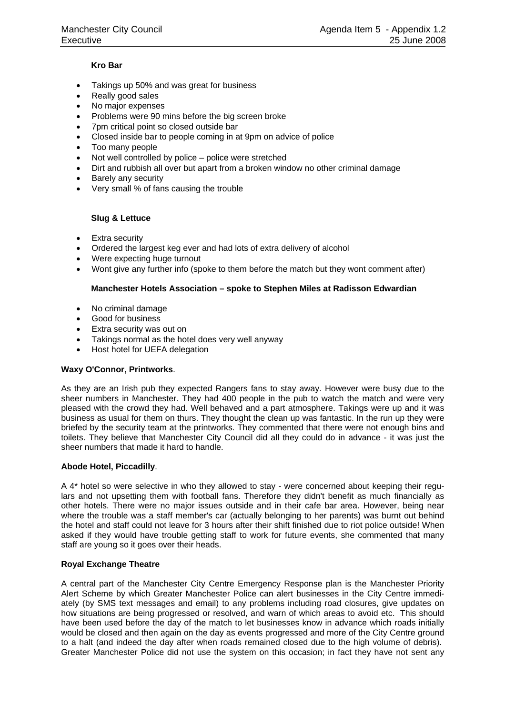#### **Kro Bar**

- Takings up 50% and was great for business
- Really good sales
- No major expenses
- Problems were 90 mins before the big screen broke
- 7pm critical point so closed outside bar
- Closed inside bar to people coming in at 9pm on advice of police
- Too many people
- Not well controlled by police police were stretched
- Dirt and rubbish all over but apart from a broken window no other criminal damage
- Barely any security
- Very small % of fans causing the trouble

#### **Slug & Lettuce**

- Extra security
- Ordered the largest keg ever and had lots of extra delivery of alcohol
- Were expecting huge turnout
- Wont give any further info (spoke to them before the match but they wont comment after)

#### **Manchester Hotels Association – spoke to Stephen Miles at Radisson Edwardian**

- No criminal damage
- Good for business
- Extra security was out on
- Takings normal as the hotel does very well anyway
- Host hotel for UEFA delegation

#### **Waxy O'Connor, Printworks**.

As they are an Irish pub they expected Rangers fans to stay away. However were busy due to the sheer numbers in Manchester. They had 400 people in the pub to watch the match and were very pleased with the crowd they had. Well behaved and a part atmosphere. Takings were up and it was business as usual for them on thurs. They thought the clean up was fantastic. In the run up they were briefed by the security team at the printworks. They commented that there were not enough bins and toilets. They believe that Manchester City Council did all they could do in advance - it was just the sheer numbers that made it hard to handle.

#### **Abode Hotel, Piccadilly**.

A 4\* hotel so were selective in who they allowed to stay - were concerned about keeping their regulars and not upsetting them with football fans. Therefore they didn't benefit as much financially as other hotels. There were no major issues outside and in their cafe bar area. However, being near where the trouble was a staff member's car (actually belonging to her parents) was burnt out behind the hotel and staff could not leave for 3 hours after their shift finished due to riot police outside! When asked if they would have trouble getting staff to work for future events, she commented that many staff are young so it goes over their heads.

#### **Royal Exchange Theatre**

A central part of the Manchester City Centre Emergency Response plan is the Manchester Priority Alert Scheme by which Greater Manchester Police can alert businesses in the City Centre immediately (by SMS text messages and email) to any problems including road closures, give updates on how situations are being progressed or resolved, and warn of which areas to avoid etc. This should have been used before the day of the match to let businesses know in advance which roads initially would be closed and then again on the day as events progressed and more of the City Centre ground to a halt (and indeed the day after when roads remained closed due to the high volume of debris). Greater Manchester Police did not use the system on this occasion; in fact they have not sent any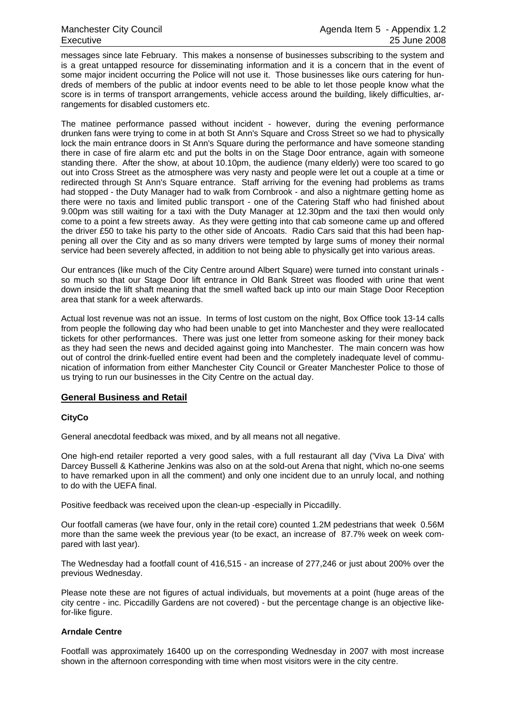messages since late February. This makes a nonsense of businesses subscribing to the system and is a great untapped resource for disseminating information and it is a concern that in the event of some major incident occurring the Police will not use it. Those businesses like ours catering for hundreds of members of the public at indoor events need to be able to let those people know what the score is in terms of transport arrangements, vehicle access around the building, likely difficulties, arrangements for disabled customers etc.

The matinee performance passed without incident - however, during the evening performance drunken fans were trying to come in at both St Ann's Square and Cross Street so we had to physically lock the main entrance doors in St Ann's Square during the performance and have someone standing there in case of fire alarm etc and put the bolts in on the Stage Door entrance, again with someone standing there. After the show, at about 10.10pm, the audience (many elderly) were too scared to go out into Cross Street as the atmosphere was very nasty and people were let out a couple at a time or redirected through St Ann's Square entrance. Staff arriving for the evening had problems as trams had stopped - the Duty Manager had to walk from Cornbrook - and also a nightmare getting home as there were no taxis and limited public transport - one of the Catering Staff who had finished about 9.00pm was still waiting for a taxi with the Duty Manager at 12.30pm and the taxi then would only come to a point a few streets away. As they were getting into that cab someone came up and offered the driver £50 to take his party to the other side of Ancoats. Radio Cars said that this had been happening all over the City and as so many drivers were tempted by large sums of money their normal service had been severely affected, in addition to not being able to physically get into various areas.

Our entrances (like much of the City Centre around Albert Square) were turned into constant urinals so much so that our Stage Door lift entrance in Old Bank Street was flooded with urine that went down inside the lift shaft meaning that the smell wafted back up into our main Stage Door Reception area that stank for a week afterwards.

Actual lost revenue was not an issue. In terms of lost custom on the night, Box Office took 13-14 calls from people the following day who had been unable to get into Manchester and they were reallocated tickets for other performances. There was just one letter from someone asking for their money back as they had seen the news and decided against going into Manchester. The main concern was how out of control the drink-fuelled entire event had been and the completely inadequate level of communication of information from either Manchester City Council or Greater Manchester Police to those of us trying to run our businesses in the City Centre on the actual day.

## **General Business and Retail**

#### **CityCo**

General anecdotal feedback was mixed, and by all means not all negative.

One high-end retailer reported a very good sales, with a full restaurant all day ('Viva La Diva' with Darcey Bussell & Katherine Jenkins was also on at the sold-out Arena that night, which no-one seems to have remarked upon in all the comment) and only one incident due to an unruly local, and nothing to do with the UEFA final.

Positive feedback was received upon the clean-up -especially in Piccadilly.

Our footfall cameras (we have four, only in the retail core) counted 1.2M pedestrians that week 0.56M more than the same week the previous year (to be exact, an increase of 87.7% week on week compared with last year).

The Wednesday had a footfall count of 416,515 - an increase of 277,246 or just about 200% over the previous Wednesday.

Please note these are not figures of actual individuals, but movements at a point (huge areas of the city centre - inc. Piccadilly Gardens are not covered) - but the percentage change is an objective likefor-like figure.

#### **Arndale Centre**

Footfall was approximately 16400 up on the corresponding Wednesday in 2007 with most increase shown in the afternoon corresponding with time when most visitors were in the city centre.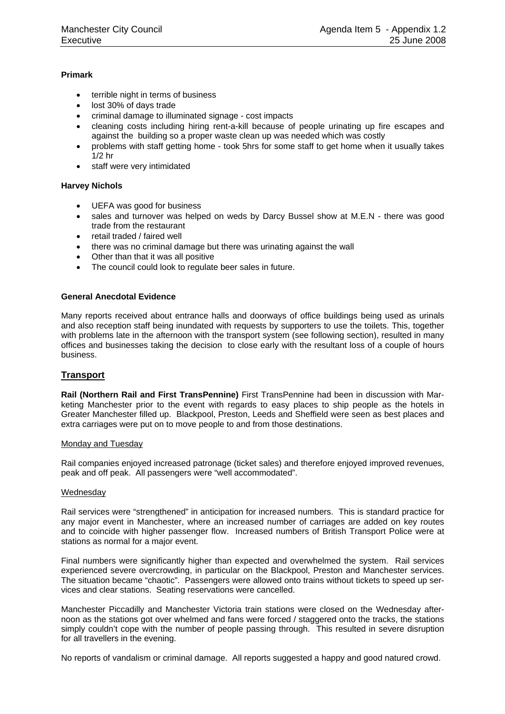#### **Primark**

- terrible night in terms of business
- lost 30% of days trade
- criminal damage to illuminated signage cost impacts
- cleaning costs including hiring rent-a-kill because of people urinating up fire escapes and against the building so a proper waste clean up was needed which was costly
- problems with staff getting home took 5hrs for some staff to get home when it usually takes 1/2 hr
- staff were very intimidated

#### **Harvey Nichols**

- UEFA was good for business
- sales and turnover was helped on weds by Darcy Bussel show at M.E.N there was good trade from the restaurant
- retail traded / faired well
- there was no criminal damage but there was urinating against the wall
- Other than that it was all positive
- The council could look to regulate beer sales in future.

#### **General Anecdotal Evidence**

Many reports received about entrance halls and doorways of office buildings being used as urinals and also reception staff being inundated with requests by supporters to use the toilets. This, together with problems late in the afternoon with the transport system (see following section), resulted in many offices and businesses taking the decision to close early with the resultant loss of a couple of hours business.

#### **Transport**

**Rail (Northern Rail and First TransPennine)** First TransPennine had been in discussion with Marketing Manchester prior to the event with regards to easy places to ship people as the hotels in Greater Manchester filled up. Blackpool, Preston, Leeds and Sheffield were seen as best places and extra carriages were put on to move people to and from those destinations.

#### Monday and Tuesday

Rail companies enjoyed increased patronage (ticket sales) and therefore enjoyed improved revenues, peak and off peak. All passengers were "well accommodated".

#### Wednesday

Rail services were "strengthened" in anticipation for increased numbers. This is standard practice for any major event in Manchester, where an increased number of carriages are added on key routes and to coincide with higher passenger flow. Increased numbers of British Transport Police were at stations as normal for a major event.

Final numbers were significantly higher than expected and overwhelmed the system. Rail services experienced severe overcrowding, in particular on the Blackpool, Preston and Manchester services. The situation became "chaotic". Passengers were allowed onto trains without tickets to speed up services and clear stations. Seating reservations were cancelled.

Manchester Piccadilly and Manchester Victoria train stations were closed on the Wednesday afternoon as the stations got over whelmed and fans were forced / staggered onto the tracks, the stations simply couldn't cope with the number of people passing through. This resulted in severe disruption for all travellers in the evening.

No reports of vandalism or criminal damage. All reports suggested a happy and good natured crowd.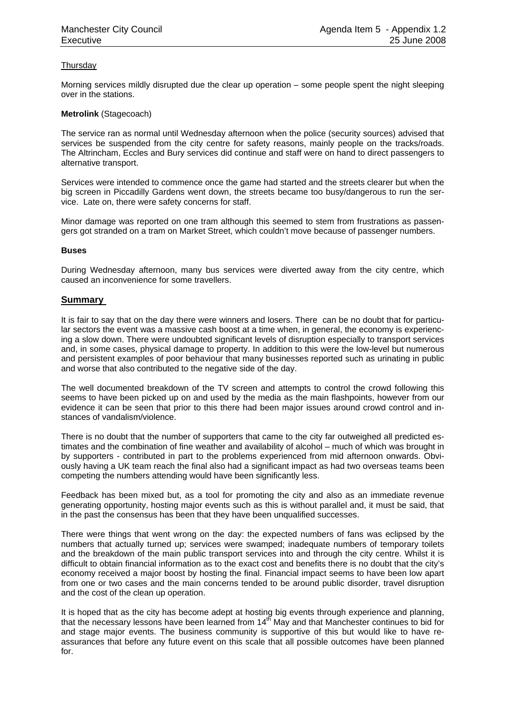#### **Thursday**

Morning services mildly disrupted due the clear up operation – some people spent the night sleeping over in the stations.

#### **Metrolink** (Stagecoach)

The service ran as normal until Wednesday afternoon when the police (security sources) advised that services be suspended from the city centre for safety reasons, mainly people on the tracks/roads. The Altrincham, Eccles and Bury services did continue and staff were on hand to direct passengers to alternative transport.

Services were intended to commence once the game had started and the streets clearer but when the big screen in Piccadilly Gardens went down, the streets became too busy/dangerous to run the service. Late on, there were safety concerns for staff.

Minor damage was reported on one tram although this seemed to stem from frustrations as passengers got stranded on a tram on Market Street, which couldn't move because of passenger numbers.

#### **Buses**

During Wednesday afternoon, many bus services were diverted away from the city centre, which caused an inconvenience for some travellers.

#### **Summary**

It is fair to say that on the day there were winners and losers. There can be no doubt that for particular sectors the event was a massive cash boost at a time when, in general, the economy is experiencing a slow down. There were undoubted significant levels of disruption especially to transport services and, in some cases, physical damage to property. In addition to this were the low-level but numerous and persistent examples of poor behaviour that many businesses reported such as urinating in public and worse that also contributed to the negative side of the day.

The well documented breakdown of the TV screen and attempts to control the crowd following this seems to have been picked up on and used by the media as the main flashpoints, however from our evidence it can be seen that prior to this there had been major issues around crowd control and instances of vandalism/violence.

There is no doubt that the number of supporters that came to the city far outweighed all predicted estimates and the combination of fine weather and availability of alcohol – much of which was brought in by supporters - contributed in part to the problems experienced from mid afternoon onwards. Obviously having a UK team reach the final also had a significant impact as had two overseas teams been competing the numbers attending would have been significantly less.

Feedback has been mixed but, as a tool for promoting the city and also as an immediate revenue generating opportunity, hosting major events such as this is without parallel and, it must be said, that in the past the consensus has been that they have been unqualified successes.

There were things that went wrong on the day: the expected numbers of fans was eclipsed by the numbers that actually turned up; services were swamped; inadequate numbers of temporary toilets and the breakdown of the main public transport services into and through the city centre. Whilst it is difficult to obtain financial information as to the exact cost and benefits there is no doubt that the city's economy received a major boost by hosting the final. Financial impact seems to have been low apart from one or two cases and the main concerns tended to be around public disorder, travel disruption and the cost of the clean up operation.

It is hoped that as the city has become adept at hosting big events through experience and planning, that the necessary lessons have been learned from  $14<sup>th</sup>$  May and that Manchester continues to bid for and stage major events. The business community is supportive of this but would like to have reassurances that before any future event on this scale that all possible outcomes have been planned for.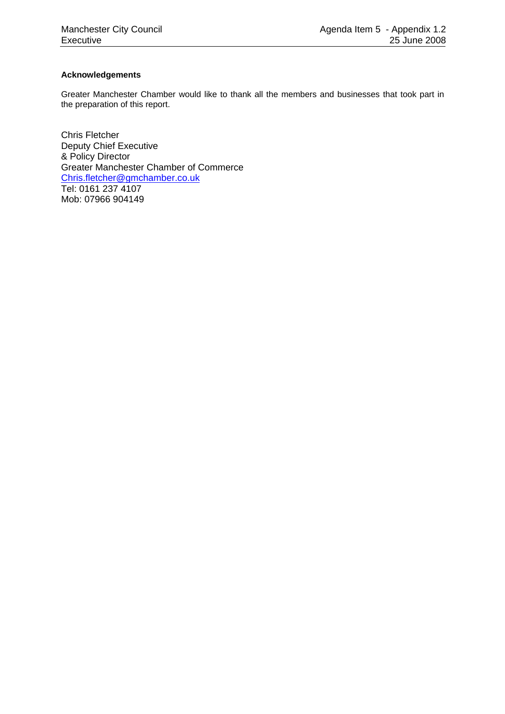#### **Acknowledgements**

Greater Manchester Chamber would like to thank all the members and businesses that took part in the preparation of this report.

Chris Fletcher Deputy Chief Executive & Policy Director Greater Manchester Chamber of Commerce [Chris.fletcher@gmchamber.co.uk](mailto:Chris.fletcher@gmchamber.co.uk) Tel: 0161 237 4107 Mob: 07966 904149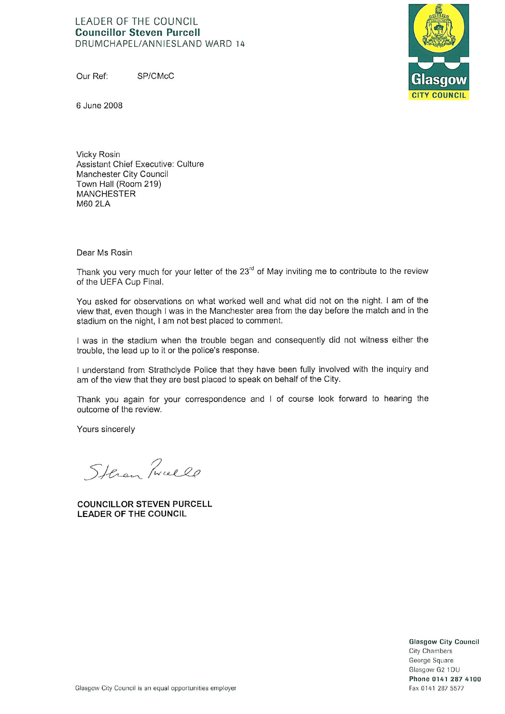#### LEADER OF THE COUNCIL **Councillor Steven Purcell** DRUMCHAPFL/ANNIESLAND WARD 14

Our Ref: SP/CMcC



6 June 2008

Vicky Rosin Assistant Chief Executive: Culture Manchester City Council Town Hall (Room 219) **MANCHESTER** M60 2LA

Dear Ms Rosin

Thank you very much for your letter of the 23<sup>rd</sup> of May inviting me to contribute to the review of the UEFA Cup Final.

You asked for observations on what worked well and what did not on the night. I am of the view that, even though I was in the Manchester area from the day before the match and in the stadium on the night, I am not best placed to comment.

I was in the stadium when the trouble began and consequently did not witness either the trouble, the lead up to it or the police's response.

I understand from Strathclyde Police that they have been fully involved with the inquiry and am of the view that they are best placed to speak on behalf of the City.

Thank you again for your correspondence and I of course look forward to hearing the outcome of the review.

Yours sincerely

Steren Tweele

**COUNCILLOR STEVEN PURCELL LEADER OF THE COUNCIL** 

> **Glasgow City Council City Chambers** George Square Glasgow G2 1DU Phone 0141 287 4100 Fax 0141 287 5577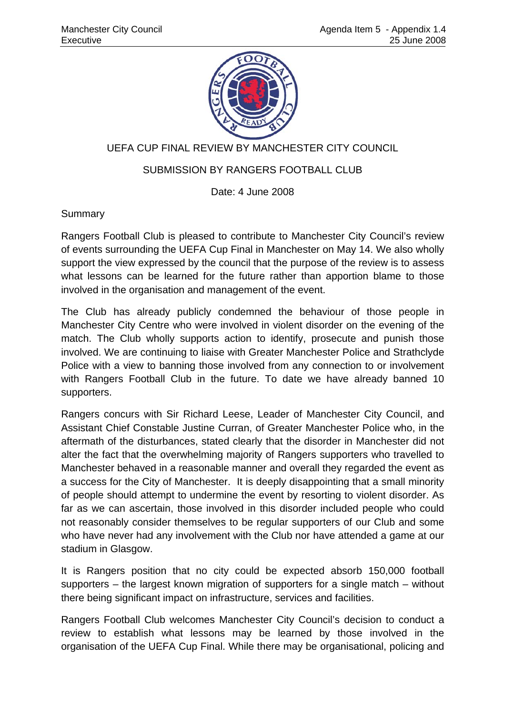

# UEFA CUP FINAL REVIEW BY MANCHESTER CITY COUNCIL

# SUBMISSION BY RANGERS FOOTBALL CLUB

Date: 4 June 2008

**Summary** 

Rangers Football Club is pleased to contribute to Manchester City Council's review of events surrounding the UEFA Cup Final in Manchester on May 14. We also wholly support the view expressed by the council that the purpose of the review is to assess what lessons can be learned for the future rather than apportion blame to those involved in the organisation and management of the event.

The Club has already publicly condemned the behaviour of those people in Manchester City Centre who were involved in violent disorder on the evening of the match. The Club wholly supports action to identify, prosecute and punish those involved. We are continuing to liaise with Greater Manchester Police and Strathclyde Police with a view to banning those involved from any connection to or involvement with Rangers Football Club in the future. To date we have already banned 10 supporters.

Rangers concurs with Sir Richard Leese, Leader of Manchester City Council, and Assistant Chief Constable Justine Curran, of Greater Manchester Police who, in the aftermath of the disturbances, stated clearly that the disorder in Manchester did not alter the fact that the overwhelming majority of Rangers supporters who travelled to Manchester behaved in a reasonable manner and overall they regarded the event as a success for the City of Manchester. It is deeply disappointing that a small minority of people should attempt to undermine the event by resorting to violent disorder. As far as we can ascertain, those involved in this disorder included people who could not reasonably consider themselves to be regular supporters of our Club and some who have never had any involvement with the Club nor have attended a game at our stadium in Glasgow.

It is Rangers position that no city could be expected absorb 150,000 football supporters – the largest known migration of supporters for a single match – without there being significant impact on infrastructure, services and facilities.

Rangers Football Club welcomes Manchester City Council's decision to conduct a review to establish what lessons may be learned by those involved in the organisation of the UEFA Cup Final. While there may be organisational, policing and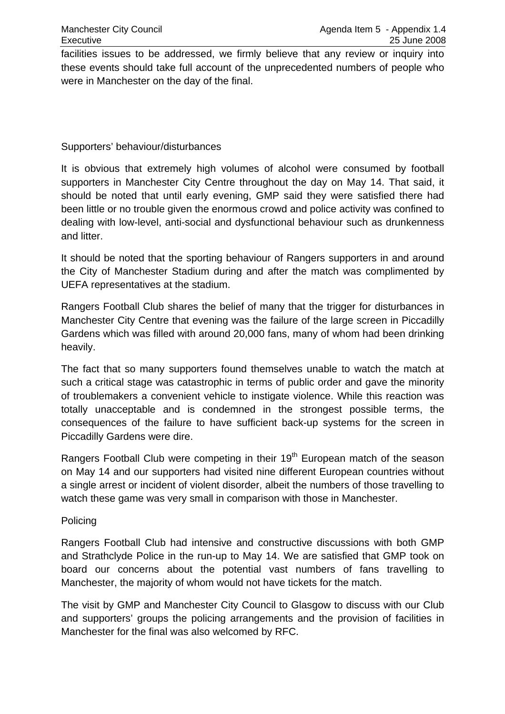facilities issues to be addressed, we firmly believe that any review or inquiry into these events should take full account of the unprecedented numbers of people who were in Manchester on the day of the final.

# Supporters' behaviour/disturbances

It is obvious that extremely high volumes of alcohol were consumed by football supporters in Manchester City Centre throughout the day on May 14. That said, it should be noted that until early evening, GMP said they were satisfied there had been little or no trouble given the enormous crowd and police activity was confined to dealing with low-level, anti-social and dysfunctional behaviour such as drunkenness and litter.

It should be noted that the sporting behaviour of Rangers supporters in and around the City of Manchester Stadium during and after the match was complimented by UEFA representatives at the stadium.

Rangers Football Club shares the belief of many that the trigger for disturbances in Manchester City Centre that evening was the failure of the large screen in Piccadilly Gardens which was filled with around 20,000 fans, many of whom had been drinking heavily.

The fact that so many supporters found themselves unable to watch the match at such a critical stage was catastrophic in terms of public order and gave the minority of troublemakers a convenient vehicle to instigate violence. While this reaction was totally unacceptable and is condemned in the strongest possible terms, the consequences of the failure to have sufficient back-up systems for the screen in Piccadilly Gardens were dire.

Rangers Football Club were competing in their 19<sup>th</sup> European match of the season on May 14 and our supporters had visited nine different European countries without a single arrest or incident of violent disorder, albeit the numbers of those travelling to watch these game was very small in comparison with those in Manchester.

# Policing

Rangers Football Club had intensive and constructive discussions with both GMP and Strathclyde Police in the run-up to May 14. We are satisfied that GMP took on board our concerns about the potential vast numbers of fans travelling to Manchester, the majority of whom would not have tickets for the match.

The visit by GMP and Manchester City Council to Glasgow to discuss with our Club and supporters' groups the policing arrangements and the provision of facilities in Manchester for the final was also welcomed by RFC.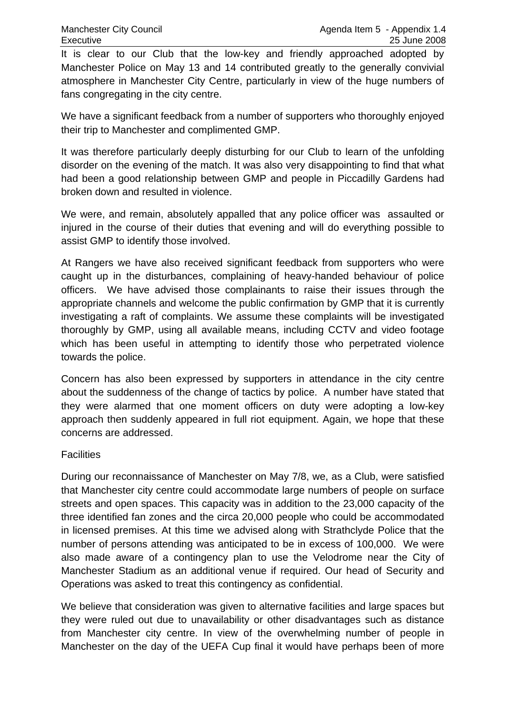It is clear to our Club that the low-key and friendly approached adopted by Manchester Police on May 13 and 14 contributed greatly to the generally convivial atmosphere in Manchester City Centre, particularly in view of the huge numbers of fans congregating in the city centre.

We have a significant feedback from a number of supporters who thoroughly enjoyed their trip to Manchester and complimented GMP.

It was therefore particularly deeply disturbing for our Club to learn of the unfolding disorder on the evening of the match. It was also very disappointing to find that what had been a good relationship between GMP and people in Piccadilly Gardens had broken down and resulted in violence.

We were, and remain, absolutely appalled that any police officer was assaulted or injured in the course of their duties that evening and will do everything possible to assist GMP to identify those involved.

At Rangers we have also received significant feedback from supporters who were caught up in the disturbances, complaining of heavy-handed behaviour of police officers. We have advised those complainants to raise their issues through the appropriate channels and welcome the public confirmation by GMP that it is currently investigating a raft of complaints. We assume these complaints will be investigated thoroughly by GMP, using all available means, including CCTV and video footage which has been useful in attempting to identify those who perpetrated violence towards the police.

Concern has also been expressed by supporters in attendance in the city centre about the suddenness of the change of tactics by police. A number have stated that they were alarmed that one moment officers on duty were adopting a low-key approach then suddenly appeared in full riot equipment. Again, we hope that these concerns are addressed.

# **Facilities**

During our reconnaissance of Manchester on May 7/8, we, as a Club, were satisfied that Manchester city centre could accommodate large numbers of people on surface streets and open spaces. This capacity was in addition to the 23,000 capacity of the three identified fan zones and the circa 20,000 people who could be accommodated in licensed premises. At this time we advised along with Strathclyde Police that the number of persons attending was anticipated to be in excess of 100,000. We were also made aware of a contingency plan to use the Velodrome near the City of Manchester Stadium as an additional venue if required. Our head of Security and Operations was asked to treat this contingency as confidential.

We believe that consideration was given to alternative facilities and large spaces but they were ruled out due to unavailability or other disadvantages such as distance from Manchester city centre. In view of the overwhelming number of people in Manchester on the day of the UEFA Cup final it would have perhaps been of more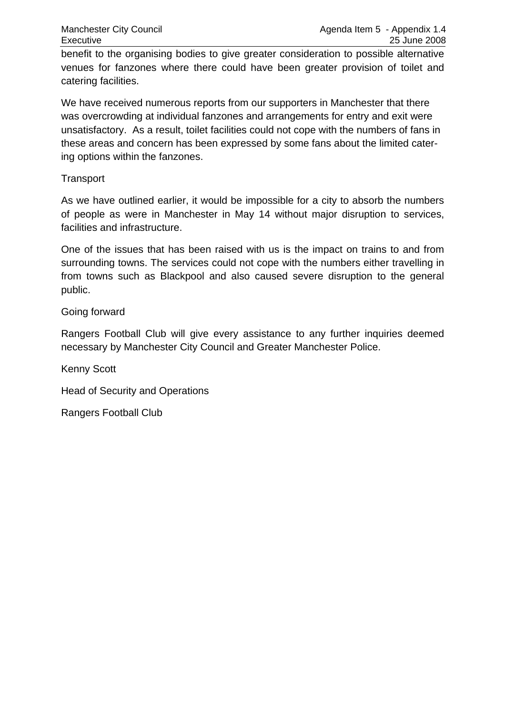benefit to the organising bodies to give greater consideration to possible alternative venues for fanzones where there could have been greater provision of toilet and catering facilities.

We have received numerous reports from our supporters in Manchester that there was overcrowding at individual fanzones and arrangements for entry and exit were unsatisfactory. As a result, toilet facilities could not cope with the numbers of fans in these areas and concern has been expressed by some fans about the limited catering options within the fanzones.

# **Transport**

As we have outlined earlier, it would be impossible for a city to absorb the numbers of people as were in Manchester in May 14 without major disruption to services, facilities and infrastructure.

One of the issues that has been raised with us is the impact on trains to and from surrounding towns. The services could not cope with the numbers either travelling in from towns such as Blackpool and also caused severe disruption to the general public.

# Going forward

Rangers Football Club will give every assistance to any further inquiries deemed necessary by Manchester City Council and Greater Manchester Police.

Kenny Scott

Head of Security and Operations

Rangers Football Club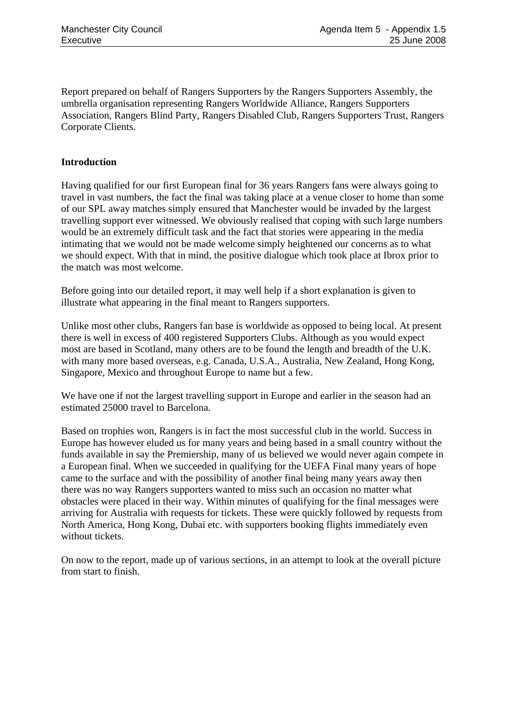Report prepared on behalf of Rangers Supporters by the Rangers Supporters Assembly, the umbrella organisation representing Rangers Worldwide Alliance, Rangers Supporters Association, Rangers Blind Party, Rangers Disabled Club, Rangers Supporters Trust, Rangers Corporate Clients.

## **Introduction**

Having qualified for our first European final for 36 years Rangers fans were always going to travel in vast numbers, the fact the final was taking place at a venue closer to home than some of our SPL away matches simply ensured that Manchester would be invaded by the largest travelling support ever witnessed. We obviously realised that coping with such large numbers would be an extremely difficult task and the fact that stories were appearing in the media intimating that we would not be made welcome simply heightened our concerns as to what we should expect. With that in mind, the positive dialogue which took place at Ibrox prior to the match was most welcome.

Before going into our detailed report, it may well help if a short explanation is given to illustrate what appearing in the final meant to Rangers supporters.

Unlike most other clubs, Rangers fan base is worldwide as opposed to being local. At present there is well in excess of 400 registered Supporters Clubs. Although as you would expect most are based in Scotland, many others are to be found the length and breadth of the U.K. with many more based overseas, e.g. Canada, U.S.A., Australia, New Zealand, Hong Kong, Singapore, Mexico and throughout Europe to name but a few.

We have one if not the largest travelling support in Europe and earlier in the season had an estimated 25000 travel to Barcelona.

Based on trophies won, Rangers is in fact the most successful club in the world. Success in Europe has however eluded us for many years and being based in a small country without the funds available in say the Premiership, many of us believed we would never again compete in a European final. When we succeeded in qualifying for the UEFA Final many years of hope came to the surface and with the possibility of another final being many years away then there was no way Rangers supporters wanted to miss such an occasion no matter what obstacles were placed in their way. Within minutes of qualifying for the final messages were arriving for Australia with requests for tickets. These were quickly followed by requests from North America, Hong Kong, Dubai etc. with supporters booking flights immediately even without tickets.

On now to the report, made up of various sections, in an attempt to look at the overall picture from start to finish.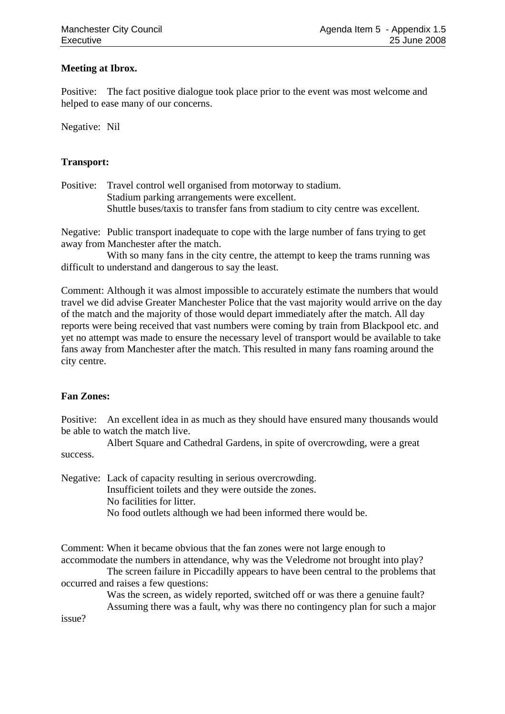## **Meeting at Ibrox.**

Positive: The fact positive dialogue took place prior to the event was most welcome and helped to ease many of our concerns.

Negative: Nil

## **Transport:**

Positive: Travel control well organised from motorway to stadium. Stadium parking arrangements were excellent. Shuttle buses/taxis to transfer fans from stadium to city centre was excellent.

Negative: Public transport inadequate to cope with the large number of fans trying to get away from Manchester after the match.

With so many fans in the city centre, the attempt to keep the trams running was difficult to understand and dangerous to say the least.

Comment: Although it was almost impossible to accurately estimate the numbers that would travel we did advise Greater Manchester Police that the vast majority would arrive on the day of the match and the majority of those would depart immediately after the match. All day reports were being received that vast numbers were coming by train from Blackpool etc. and yet no attempt was made to ensure the necessary level of transport would be available to take fans away from Manchester after the match. This resulted in many fans roaming around the city centre.

## **Fan Zones:**

Positive: An excellent idea in as much as they should have ensured many thousands would be able to watch the match live.

 Albert Square and Cathedral Gardens, in spite of overcrowding, were a great success.

Negative: Lack of capacity resulting in serious overcrowding. Insufficient toilets and they were outside the zones. No facilities for litter. No food outlets although we had been informed there would be.

Comment: When it became obvious that the fan zones were not large enough to accommodate the numbers in attendance, why was the Veledrome not brought into play?

 The screen failure in Piccadilly appears to have been central to the problems that occurred and raises a few questions:

> Was the screen, as widely reported, switched off or was there a genuine fault? Assuming there was a fault, why was there no contingency plan for such a major

issue?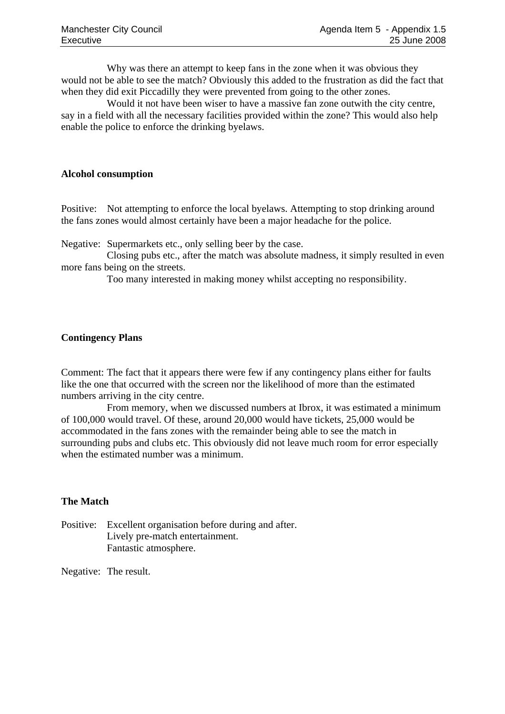Why was there an attempt to keep fans in the zone when it was obvious they would not be able to see the match? Obviously this added to the frustration as did the fact that when they did exit Piccadilly they were prevented from going to the other zones.

 Would it not have been wiser to have a massive fan zone outwith the city centre, say in a field with all the necessary facilities provided within the zone? This would also help enable the police to enforce the drinking byelaws.

## **Alcohol consumption**

Positive: Not attempting to enforce the local byelaws. Attempting to stop drinking around the fans zones would almost certainly have been a major headache for the police.

Negative: Supermarkets etc., only selling beer by the case.

 Closing pubs etc., after the match was absolute madness, it simply resulted in even more fans being on the streets.

Too many interested in making money whilst accepting no responsibility.

## **Contingency Plans**

Comment: The fact that it appears there were few if any contingency plans either for faults like the one that occurred with the screen nor the likelihood of more than the estimated numbers arriving in the city centre.

 From memory, when we discussed numbers at Ibrox, it was estimated a minimum of 100,000 would travel. Of these, around 20,000 would have tickets, 25,000 would be accommodated in the fans zones with the remainder being able to see the match in surrounding pubs and clubs etc. This obviously did not leave much room for error especially when the estimated number was a minimum.

## **The Match**

Positive: Excellent organisation before during and after. Lively pre-match entertainment. Fantastic atmosphere.

Negative: The result.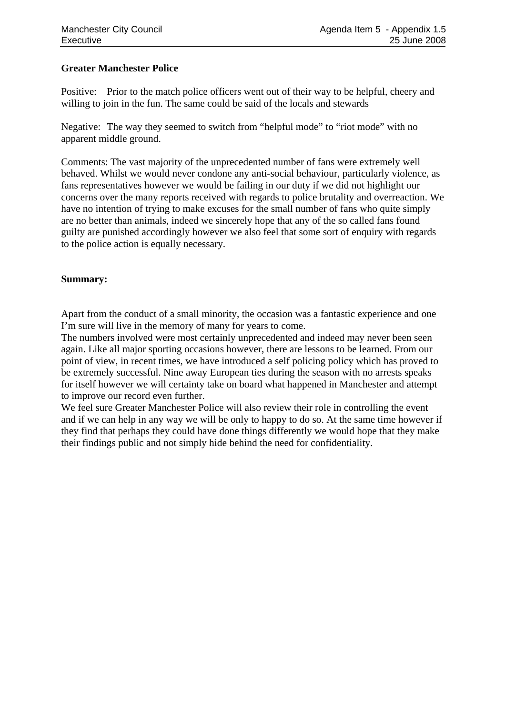## **Greater Manchester Police**

Positive: Prior to the match police officers went out of their way to be helpful, cheery and willing to join in the fun. The same could be said of the locals and stewards

Negative: The way they seemed to switch from "helpful mode" to "riot mode" with no apparent middle ground.

Comments: The vast majority of the unprecedented number of fans were extremely well behaved. Whilst we would never condone any anti-social behaviour, particularly violence, as fans representatives however we would be failing in our duty if we did not highlight our concerns over the many reports received with regards to police brutality and overreaction. We have no intention of trying to make excuses for the small number of fans who quite simply are no better than animals, indeed we sincerely hope that any of the so called fans found guilty are punished accordingly however we also feel that some sort of enquiry with regards to the police action is equally necessary.

## **Summary:**

Apart from the conduct of a small minority, the occasion was a fantastic experience and one I'm sure will live in the memory of many for years to come.

The numbers involved were most certainly unprecedented and indeed may never been seen again. Like all major sporting occasions however, there are lessons to be learned. From our point of view, in recent times, we have introduced a self policing policy which has proved to be extremely successful. Nine away European ties during the season with no arrests speaks for itself however we will certainty take on board what happened in Manchester and attempt to improve our record even further.

We feel sure Greater Manchester Police will also review their role in controlling the event and if we can help in any way we will be only to happy to do so. At the same time however if they find that perhaps they could have done things differently we would hope that they make their findings public and not simply hide behind the need for confidentiality.